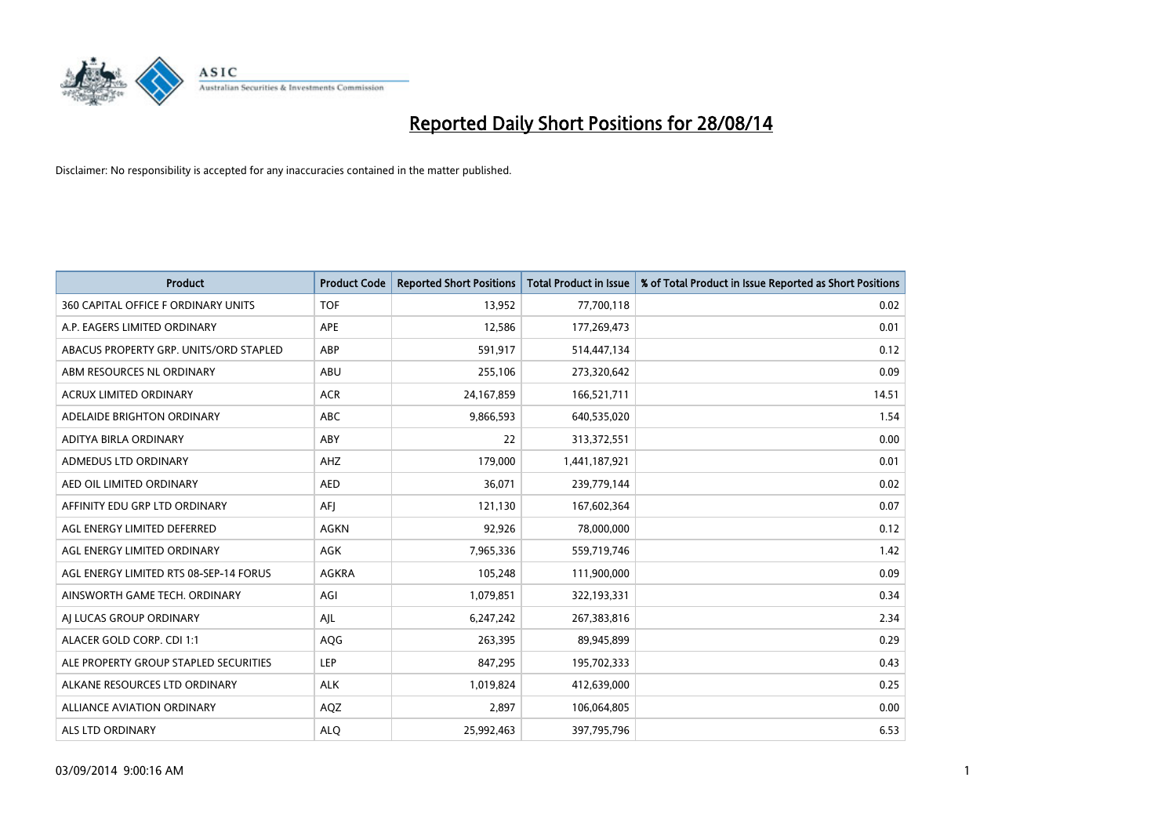

| <b>Product</b>                         | <b>Product Code</b> | <b>Reported Short Positions</b> | <b>Total Product in Issue</b> | % of Total Product in Issue Reported as Short Positions |
|----------------------------------------|---------------------|---------------------------------|-------------------------------|---------------------------------------------------------|
| 360 CAPITAL OFFICE F ORDINARY UNITS    | <b>TOF</b>          | 13,952                          | 77,700,118                    | 0.02                                                    |
| A.P. EAGERS LIMITED ORDINARY           | <b>APE</b>          | 12,586                          | 177,269,473                   | 0.01                                                    |
| ABACUS PROPERTY GRP. UNITS/ORD STAPLED | ABP                 | 591,917                         | 514,447,134                   | 0.12                                                    |
| ABM RESOURCES NL ORDINARY              | ABU                 | 255,106                         | 273,320,642                   | 0.09                                                    |
| <b>ACRUX LIMITED ORDINARY</b>          | <b>ACR</b>          | 24,167,859                      | 166,521,711                   | 14.51                                                   |
| ADELAIDE BRIGHTON ORDINARY             | <b>ABC</b>          | 9,866,593                       | 640,535,020                   | 1.54                                                    |
| ADITYA BIRLA ORDINARY                  | ABY                 | 22                              | 313,372,551                   | 0.00                                                    |
| ADMEDUS LTD ORDINARY                   | AHZ                 | 179,000                         | 1,441,187,921                 | 0.01                                                    |
| AED OIL LIMITED ORDINARY               | <b>AED</b>          | 36,071                          | 239,779,144                   | 0.02                                                    |
| AFFINITY EDU GRP LTD ORDINARY          | AFI                 | 121,130                         | 167,602,364                   | 0.07                                                    |
| AGL ENERGY LIMITED DEFERRED            | AGKN                | 92,926                          | 78,000,000                    | 0.12                                                    |
| AGL ENERGY LIMITED ORDINARY            | AGK                 | 7,965,336                       | 559,719,746                   | 1.42                                                    |
| AGL ENERGY LIMITED RTS 08-SEP-14 FORUS | AGKRA               | 105,248                         | 111,900,000                   | 0.09                                                    |
| AINSWORTH GAME TECH. ORDINARY          | AGI                 | 1,079,851                       | 322,193,331                   | 0.34                                                    |
| AI LUCAS GROUP ORDINARY                | AJL                 | 6,247,242                       | 267,383,816                   | 2.34                                                    |
| ALACER GOLD CORP. CDI 1:1              | AQG                 | 263,395                         | 89,945,899                    | 0.29                                                    |
| ALE PROPERTY GROUP STAPLED SECURITIES  | LEP                 | 847,295                         | 195,702,333                   | 0.43                                                    |
| ALKANE RESOURCES LTD ORDINARY          | <b>ALK</b>          | 1,019,824                       | 412,639,000                   | 0.25                                                    |
| <b>ALLIANCE AVIATION ORDINARY</b>      | AQZ                 | 2,897                           | 106,064,805                   | 0.00                                                    |
| ALS LTD ORDINARY                       | <b>ALO</b>          | 25,992,463                      | 397,795,796                   | 6.53                                                    |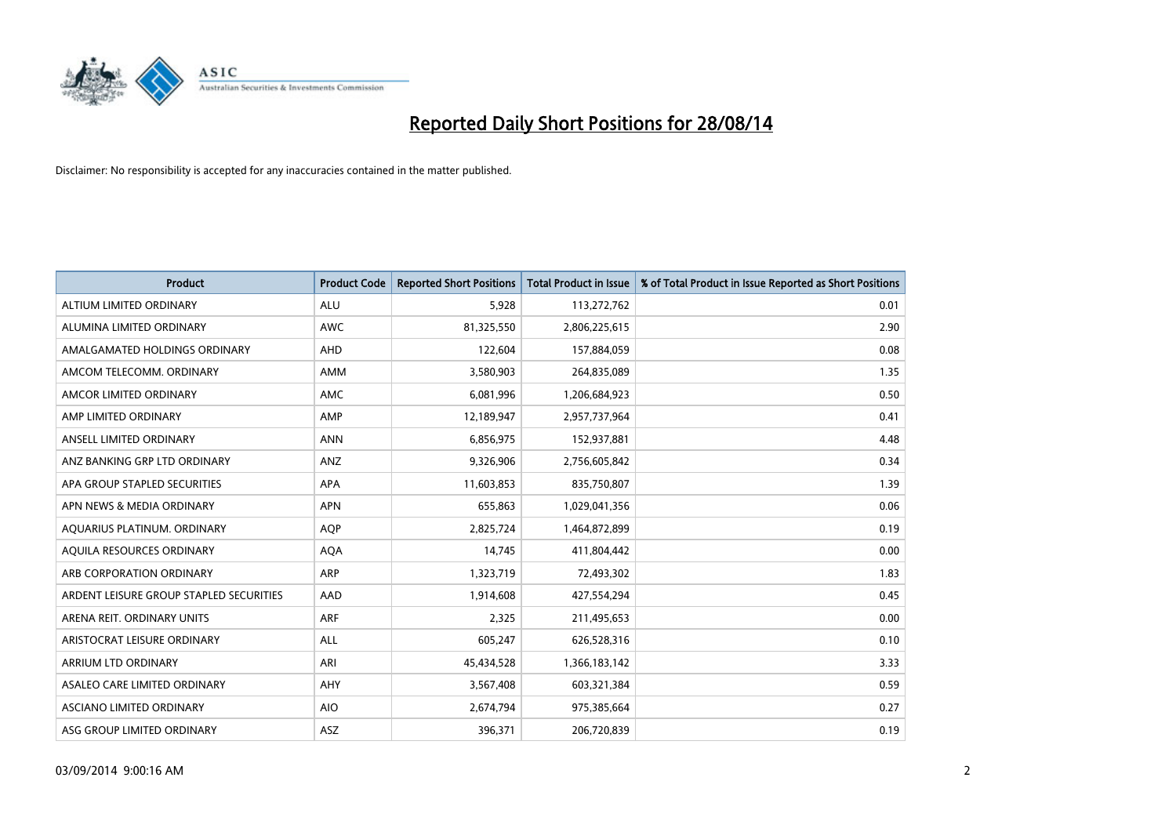

| <b>Product</b>                          | <b>Product Code</b> | <b>Reported Short Positions</b> | <b>Total Product in Issue</b> | % of Total Product in Issue Reported as Short Positions |
|-----------------------------------------|---------------------|---------------------------------|-------------------------------|---------------------------------------------------------|
| ALTIUM LIMITED ORDINARY                 | <b>ALU</b>          | 5,928                           | 113,272,762                   | 0.01                                                    |
| ALUMINA LIMITED ORDINARY                | AWC                 | 81,325,550                      | 2,806,225,615                 | 2.90                                                    |
| AMALGAMATED HOLDINGS ORDINARY           | AHD                 | 122,604                         | 157,884,059                   | 0.08                                                    |
| AMCOM TELECOMM, ORDINARY                | AMM                 | 3,580,903                       | 264,835,089                   | 1.35                                                    |
| AMCOR LIMITED ORDINARY                  | AMC                 | 6,081,996                       | 1,206,684,923                 | 0.50                                                    |
| AMP LIMITED ORDINARY                    | AMP                 | 12,189,947                      | 2,957,737,964                 | 0.41                                                    |
| ANSELL LIMITED ORDINARY                 | <b>ANN</b>          | 6,856,975                       | 152,937,881                   | 4.48                                                    |
| ANZ BANKING GRP LTD ORDINARY            | ANZ                 | 9,326,906                       | 2,756,605,842                 | 0.34                                                    |
| APA GROUP STAPLED SECURITIES            | <b>APA</b>          | 11,603,853                      | 835,750,807                   | 1.39                                                    |
| APN NEWS & MEDIA ORDINARY               | <b>APN</b>          | 655,863                         | 1,029,041,356                 | 0.06                                                    |
| AQUARIUS PLATINUM. ORDINARY             | AQP                 | 2,825,724                       | 1,464,872,899                 | 0.19                                                    |
| AOUILA RESOURCES ORDINARY               | <b>AQA</b>          | 14,745                          | 411,804,442                   | 0.00                                                    |
| ARB CORPORATION ORDINARY                | ARP                 | 1,323,719                       | 72,493,302                    | 1.83                                                    |
| ARDENT LEISURE GROUP STAPLED SECURITIES | AAD                 | 1,914,608                       | 427,554,294                   | 0.45                                                    |
| ARENA REIT. ORDINARY UNITS              | <b>ARF</b>          | 2,325                           | 211,495,653                   | 0.00                                                    |
| ARISTOCRAT LEISURE ORDINARY             | ALL                 | 605,247                         | 626,528,316                   | 0.10                                                    |
| ARRIUM LTD ORDINARY                     | ARI                 | 45,434,528                      | 1,366,183,142                 | 3.33                                                    |
| ASALEO CARE LIMITED ORDINARY            | AHY                 | 3,567,408                       | 603,321,384                   | 0.59                                                    |
| ASCIANO LIMITED ORDINARY                | <b>AIO</b>          | 2,674,794                       | 975,385,664                   | 0.27                                                    |
| ASG GROUP LIMITED ORDINARY              | ASZ                 | 396,371                         | 206,720,839                   | 0.19                                                    |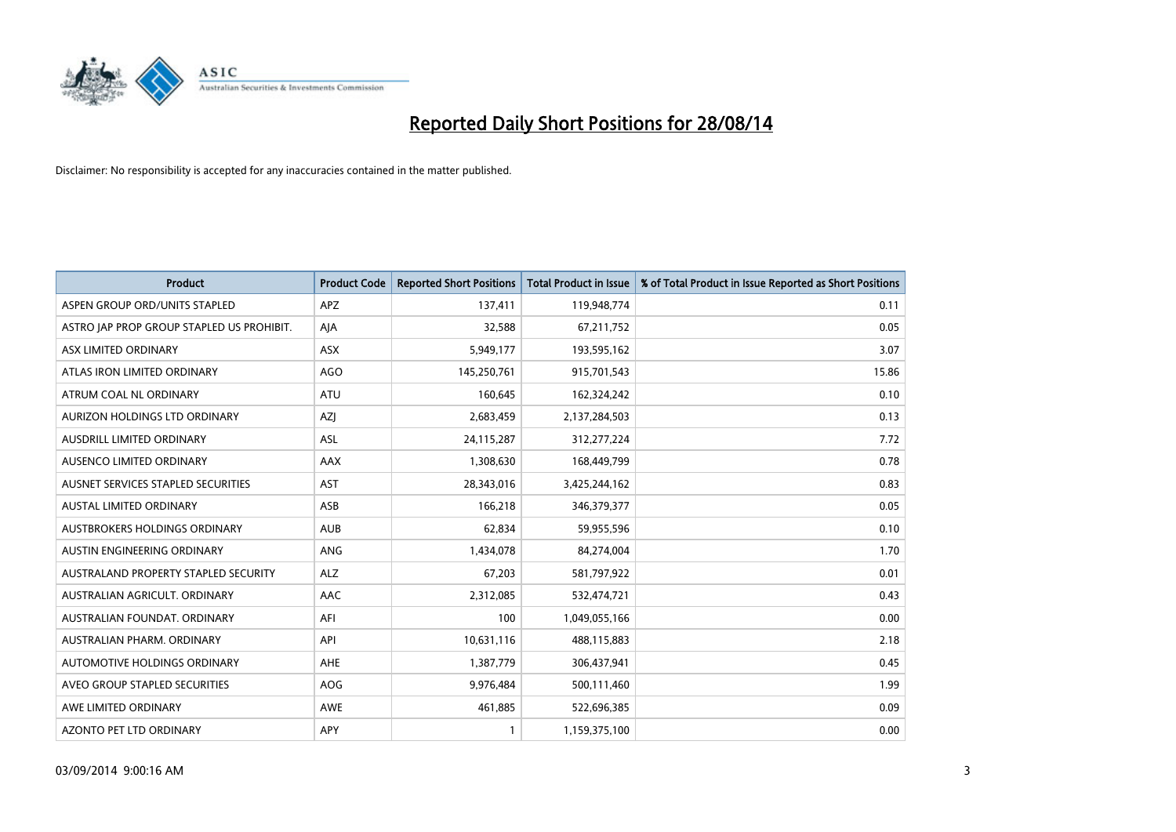

| <b>Product</b>                            | <b>Product Code</b> | <b>Reported Short Positions</b> | <b>Total Product in Issue</b> | % of Total Product in Issue Reported as Short Positions |
|-------------------------------------------|---------------------|---------------------------------|-------------------------------|---------------------------------------------------------|
| ASPEN GROUP ORD/UNITS STAPLED             | <b>APZ</b>          | 137,411                         | 119,948,774                   | 0.11                                                    |
| ASTRO JAP PROP GROUP STAPLED US PROHIBIT. | AJA                 | 32,588                          | 67,211,752                    | 0.05                                                    |
| ASX LIMITED ORDINARY                      | ASX                 | 5,949,177                       | 193,595,162                   | 3.07                                                    |
| ATLAS IRON LIMITED ORDINARY               | AGO                 | 145,250,761                     | 915,701,543                   | 15.86                                                   |
| ATRUM COAL NL ORDINARY                    | ATU                 | 160,645                         | 162,324,242                   | 0.10                                                    |
| AURIZON HOLDINGS LTD ORDINARY             | AZJ                 | 2,683,459                       | 2,137,284,503                 | 0.13                                                    |
| AUSDRILL LIMITED ORDINARY                 | <b>ASL</b>          | 24,115,287                      | 312,277,224                   | 7.72                                                    |
| AUSENCO LIMITED ORDINARY                  | AAX                 | 1,308,630                       | 168,449,799                   | 0.78                                                    |
| AUSNET SERVICES STAPLED SECURITIES        | <b>AST</b>          | 28,343,016                      | 3,425,244,162                 | 0.83                                                    |
| <b>AUSTAL LIMITED ORDINARY</b>            | ASB                 | 166,218                         | 346,379,377                   | 0.05                                                    |
| AUSTBROKERS HOLDINGS ORDINARY             | <b>AUB</b>          | 62,834                          | 59,955,596                    | 0.10                                                    |
| AUSTIN ENGINEERING ORDINARY               | <b>ANG</b>          | 1,434,078                       | 84,274,004                    | 1.70                                                    |
| AUSTRALAND PROPERTY STAPLED SECURITY      | <b>ALZ</b>          | 67,203                          | 581,797,922                   | 0.01                                                    |
| AUSTRALIAN AGRICULT, ORDINARY             | AAC                 | 2,312,085                       | 532,474,721                   | 0.43                                                    |
| AUSTRALIAN FOUNDAT, ORDINARY              | AFI                 | 100                             | 1,049,055,166                 | 0.00                                                    |
| AUSTRALIAN PHARM, ORDINARY                | API                 | 10,631,116                      | 488,115,883                   | 2.18                                                    |
| AUTOMOTIVE HOLDINGS ORDINARY              | AHE                 | 1,387,779                       | 306,437,941                   | 0.45                                                    |
| AVEO GROUP STAPLED SECURITIES             | <b>AOG</b>          | 9,976,484                       | 500,111,460                   | 1.99                                                    |
| AWE LIMITED ORDINARY                      | AWE                 | 461,885                         | 522,696,385                   | 0.09                                                    |
| AZONTO PET LTD ORDINARY                   | APY                 |                                 | 1,159,375,100                 | 0.00                                                    |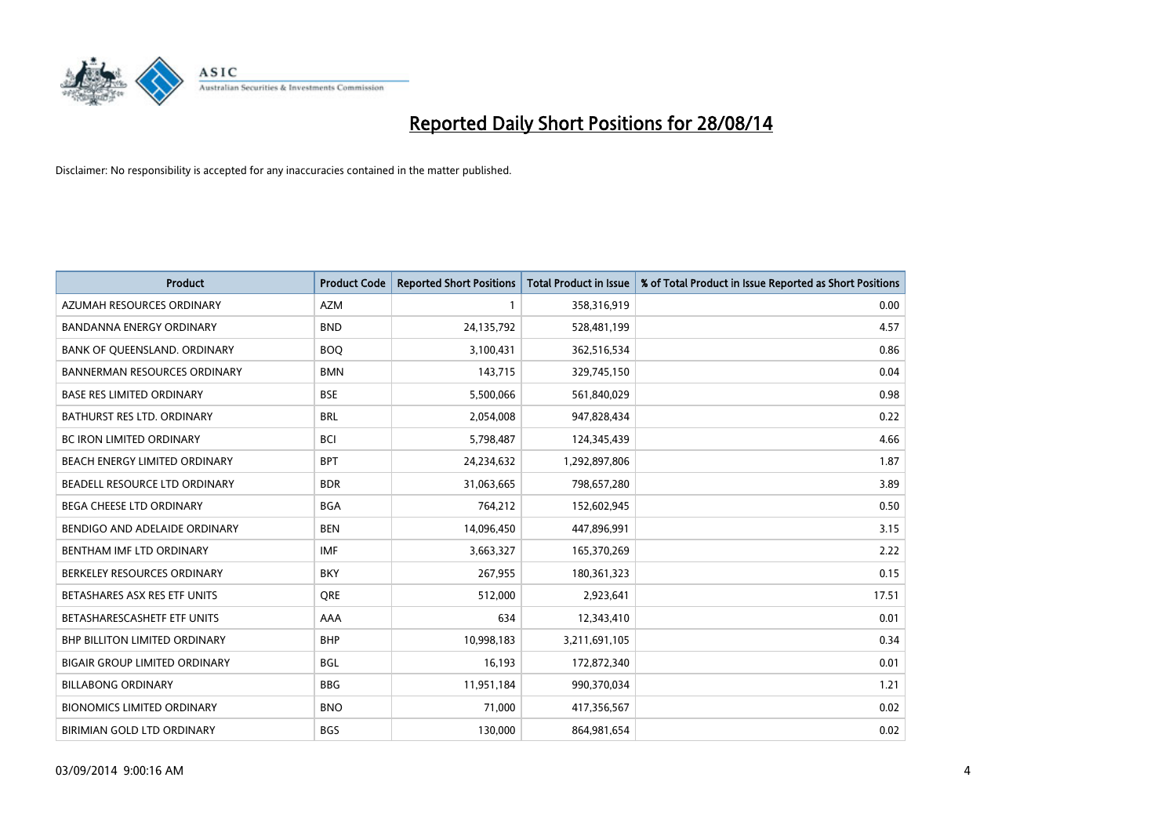

| <b>Product</b>                       | <b>Product Code</b> | <b>Reported Short Positions</b> | <b>Total Product in Issue</b> | % of Total Product in Issue Reported as Short Positions |
|--------------------------------------|---------------------|---------------------------------|-------------------------------|---------------------------------------------------------|
| AZUMAH RESOURCES ORDINARY            | <b>AZM</b>          | 1                               | 358,316,919                   | 0.00                                                    |
| <b>BANDANNA ENERGY ORDINARY</b>      | <b>BND</b>          | 24,135,792                      | 528,481,199                   | 4.57                                                    |
| BANK OF QUEENSLAND. ORDINARY         | <b>BOQ</b>          | 3,100,431                       | 362,516,534                   | 0.86                                                    |
| <b>BANNERMAN RESOURCES ORDINARY</b>  | <b>BMN</b>          | 143,715                         | 329,745,150                   | 0.04                                                    |
| <b>BASE RES LIMITED ORDINARY</b>     | <b>BSE</b>          | 5,500,066                       | 561,840,029                   | 0.98                                                    |
| BATHURST RES LTD. ORDINARY           | <b>BRL</b>          | 2,054,008                       | 947,828,434                   | 0.22                                                    |
| BC IRON LIMITED ORDINARY             | <b>BCI</b>          | 5,798,487                       | 124,345,439                   | 4.66                                                    |
| BEACH ENERGY LIMITED ORDINARY        | <b>BPT</b>          | 24,234,632                      | 1,292,897,806                 | 1.87                                                    |
| BEADELL RESOURCE LTD ORDINARY        | <b>BDR</b>          | 31,063,665                      | 798,657,280                   | 3.89                                                    |
| <b>BEGA CHEESE LTD ORDINARY</b>      | <b>BGA</b>          | 764,212                         | 152,602,945                   | 0.50                                                    |
| BENDIGO AND ADELAIDE ORDINARY        | <b>BEN</b>          | 14,096,450                      | 447,896,991                   | 3.15                                                    |
| BENTHAM IMF LTD ORDINARY             | <b>IMF</b>          | 3,663,327                       | 165,370,269                   | 2.22                                                    |
| BERKELEY RESOURCES ORDINARY          | <b>BKY</b>          | 267,955                         | 180,361,323                   | 0.15                                                    |
| BETASHARES ASX RES ETF UNITS         | <b>ORE</b>          | 512,000                         | 2,923,641                     | 17.51                                                   |
| BETASHARESCASHETF ETF UNITS          | AAA                 | 634                             | 12,343,410                    | 0.01                                                    |
| <b>BHP BILLITON LIMITED ORDINARY</b> | <b>BHP</b>          | 10,998,183                      | 3,211,691,105                 | 0.34                                                    |
| <b>BIGAIR GROUP LIMITED ORDINARY</b> | <b>BGL</b>          | 16,193                          | 172,872,340                   | 0.01                                                    |
| <b>BILLABONG ORDINARY</b>            | <b>BBG</b>          | 11,951,184                      | 990,370,034                   | 1.21                                                    |
| <b>BIONOMICS LIMITED ORDINARY</b>    | <b>BNO</b>          | 71,000                          | 417,356,567                   | 0.02                                                    |
| BIRIMIAN GOLD LTD ORDINARY           | <b>BGS</b>          | 130,000                         | 864,981,654                   | 0.02                                                    |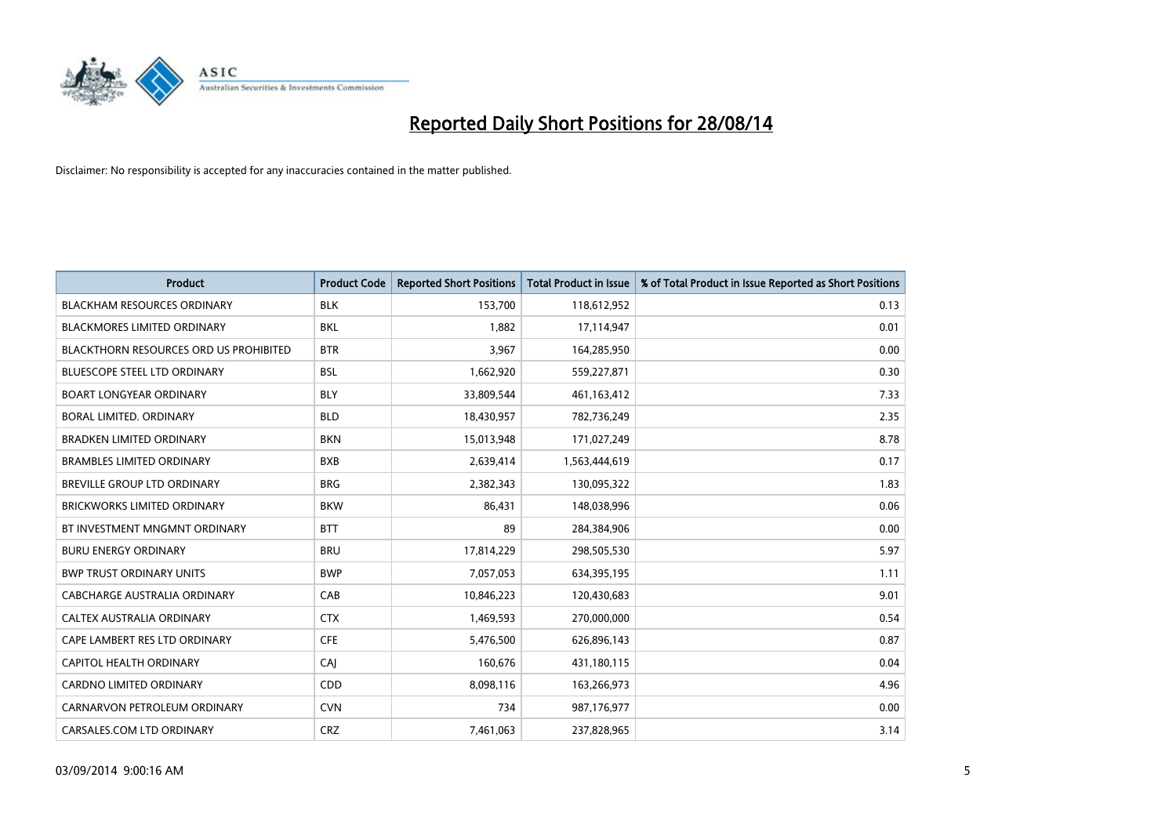

| <b>Product</b>                                | <b>Product Code</b> | <b>Reported Short Positions</b> | <b>Total Product in Issue</b> | % of Total Product in Issue Reported as Short Positions |
|-----------------------------------------------|---------------------|---------------------------------|-------------------------------|---------------------------------------------------------|
| <b>BLACKHAM RESOURCES ORDINARY</b>            | <b>BLK</b>          | 153,700                         | 118,612,952                   | 0.13                                                    |
| <b>BLACKMORES LIMITED ORDINARY</b>            | <b>BKL</b>          | 1,882                           | 17,114,947                    | 0.01                                                    |
| <b>BLACKTHORN RESOURCES ORD US PROHIBITED</b> | <b>BTR</b>          | 3,967                           | 164,285,950                   | 0.00                                                    |
| <b>BLUESCOPE STEEL LTD ORDINARY</b>           | <b>BSL</b>          | 1,662,920                       | 559,227,871                   | 0.30                                                    |
| <b>BOART LONGYEAR ORDINARY</b>                | <b>BLY</b>          | 33,809,544                      | 461,163,412                   | 7.33                                                    |
| BORAL LIMITED, ORDINARY                       | <b>BLD</b>          | 18,430,957                      | 782,736,249                   | 2.35                                                    |
| <b>BRADKEN LIMITED ORDINARY</b>               | <b>BKN</b>          | 15,013,948                      | 171,027,249                   | 8.78                                                    |
| <b>BRAMBLES LIMITED ORDINARY</b>              | <b>BXB</b>          | 2,639,414                       | 1,563,444,619                 | 0.17                                                    |
| <b>BREVILLE GROUP LTD ORDINARY</b>            | <b>BRG</b>          | 2,382,343                       | 130,095,322                   | 1.83                                                    |
| <b>BRICKWORKS LIMITED ORDINARY</b>            | <b>BKW</b>          | 86,431                          | 148,038,996                   | 0.06                                                    |
| BT INVESTMENT MNGMNT ORDINARY                 | <b>BTT</b>          | 89                              | 284,384,906                   | 0.00                                                    |
| <b>BURU ENERGY ORDINARY</b>                   | <b>BRU</b>          | 17,814,229                      | 298,505,530                   | 5.97                                                    |
| <b>BWP TRUST ORDINARY UNITS</b>               | <b>BWP</b>          | 7,057,053                       | 634,395,195                   | 1.11                                                    |
| CABCHARGE AUSTRALIA ORDINARY                  | CAB                 | 10,846,223                      | 120,430,683                   | 9.01                                                    |
| CALTEX AUSTRALIA ORDINARY                     | <b>CTX</b>          | 1,469,593                       | 270,000,000                   | 0.54                                                    |
| CAPE LAMBERT RES LTD ORDINARY                 | <b>CFE</b>          | 5,476,500                       | 626,896,143                   | 0.87                                                    |
| <b>CAPITOL HEALTH ORDINARY</b>                | CAJ                 | 160,676                         | 431,180,115                   | 0.04                                                    |
| CARDNO LIMITED ORDINARY                       | CDD                 | 8,098,116                       | 163,266,973                   | 4.96                                                    |
| CARNARVON PETROLEUM ORDINARY                  | <b>CVN</b>          | 734                             | 987,176,977                   | 0.00                                                    |
| CARSALES.COM LTD ORDINARY                     | <b>CRZ</b>          | 7,461,063                       | 237,828,965                   | 3.14                                                    |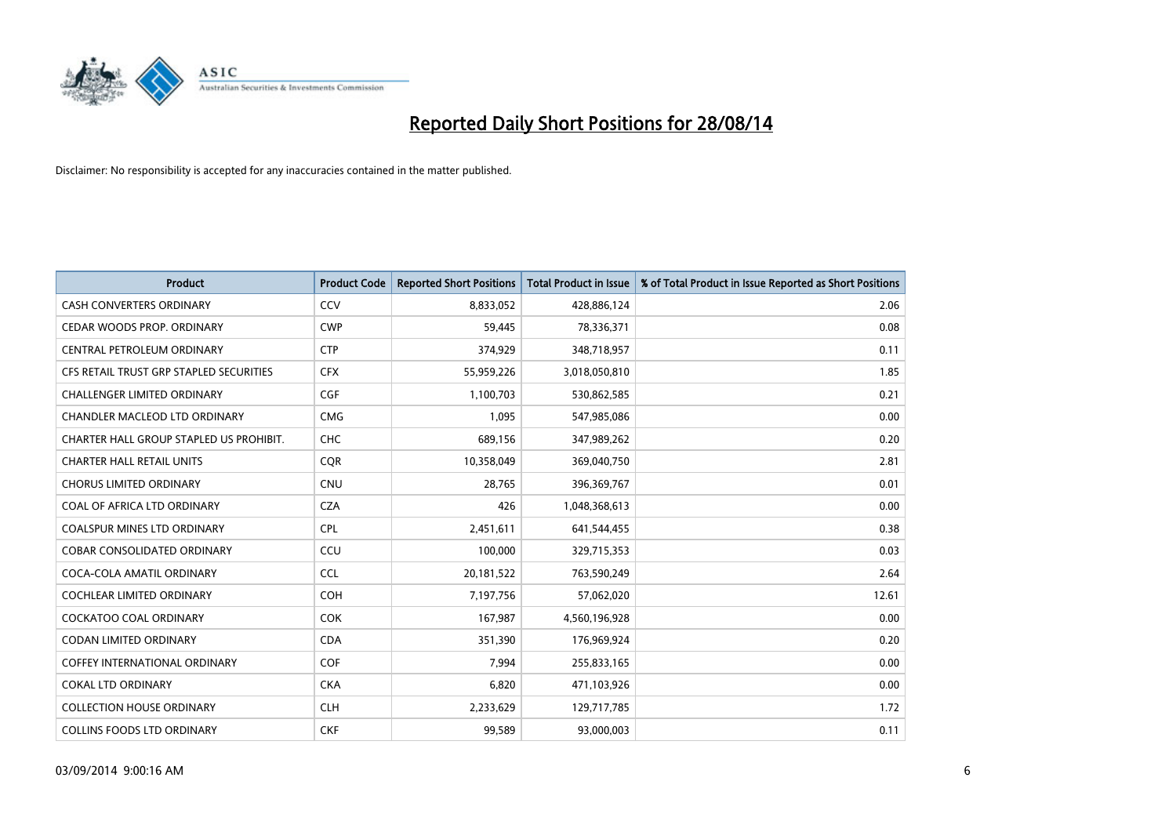

| <b>Product</b>                          | <b>Product Code</b> | <b>Reported Short Positions</b> | <b>Total Product in Issue</b> | % of Total Product in Issue Reported as Short Positions |
|-----------------------------------------|---------------------|---------------------------------|-------------------------------|---------------------------------------------------------|
| <b>CASH CONVERTERS ORDINARY</b>         | CCV                 | 8,833,052                       | 428,886,124                   | 2.06                                                    |
| CEDAR WOODS PROP. ORDINARY              | <b>CWP</b>          | 59,445                          | 78,336,371                    | 0.08                                                    |
| <b>CENTRAL PETROLEUM ORDINARY</b>       | <b>CTP</b>          | 374,929                         | 348,718,957                   | 0.11                                                    |
| CFS RETAIL TRUST GRP STAPLED SECURITIES | <b>CFX</b>          | 55,959,226                      | 3,018,050,810                 | 1.85                                                    |
| <b>CHALLENGER LIMITED ORDINARY</b>      | <b>CGF</b>          | 1,100,703                       | 530,862,585                   | 0.21                                                    |
| CHANDLER MACLEOD LTD ORDINARY           | <b>CMG</b>          | 1,095                           | 547,985,086                   | 0.00                                                    |
| CHARTER HALL GROUP STAPLED US PROHIBIT. | <b>CHC</b>          | 689,156                         | 347,989,262                   | 0.20                                                    |
| <b>CHARTER HALL RETAIL UNITS</b>        | <b>CQR</b>          | 10,358,049                      | 369,040,750                   | 2.81                                                    |
| <b>CHORUS LIMITED ORDINARY</b>          | <b>CNU</b>          | 28,765                          | 396,369,767                   | 0.01                                                    |
| COAL OF AFRICA LTD ORDINARY             | <b>CZA</b>          | 426                             | 1,048,368,613                 | 0.00                                                    |
| <b>COALSPUR MINES LTD ORDINARY</b>      | <b>CPL</b>          | 2,451,611                       | 641,544,455                   | 0.38                                                    |
| <b>COBAR CONSOLIDATED ORDINARY</b>      | CCU                 | 100,000                         | 329,715,353                   | 0.03                                                    |
| COCA-COLA AMATIL ORDINARY               | <b>CCL</b>          | 20,181,522                      | 763,590,249                   | 2.64                                                    |
| <b>COCHLEAR LIMITED ORDINARY</b>        | <b>COH</b>          | 7,197,756                       | 57,062,020                    | 12.61                                                   |
| <b>COCKATOO COAL ORDINARY</b>           | <b>COK</b>          | 167,987                         | 4,560,196,928                 | 0.00                                                    |
| <b>CODAN LIMITED ORDINARY</b>           | <b>CDA</b>          | 351,390                         | 176,969,924                   | 0.20                                                    |
| COFFEY INTERNATIONAL ORDINARY           | <b>COF</b>          | 7,994                           | 255,833,165                   | 0.00                                                    |
| <b>COKAL LTD ORDINARY</b>               | <b>CKA</b>          | 6,820                           | 471,103,926                   | 0.00                                                    |
| <b>COLLECTION HOUSE ORDINARY</b>        | <b>CLH</b>          | 2,233,629                       | 129,717,785                   | 1.72                                                    |
| <b>COLLINS FOODS LTD ORDINARY</b>       | <b>CKF</b>          | 99,589                          | 93,000,003                    | 0.11                                                    |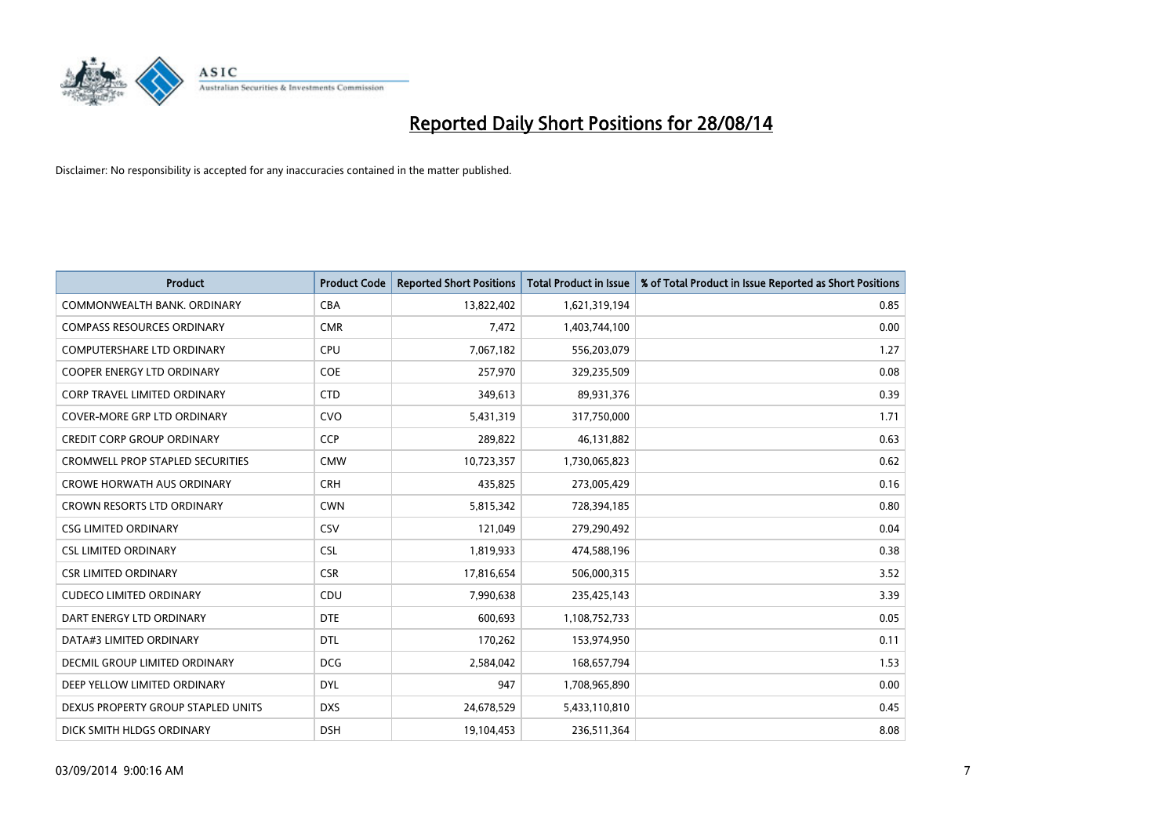

| <b>Product</b>                          | <b>Product Code</b> | <b>Reported Short Positions</b> | <b>Total Product in Issue</b> | % of Total Product in Issue Reported as Short Positions |
|-----------------------------------------|---------------------|---------------------------------|-------------------------------|---------------------------------------------------------|
| COMMONWEALTH BANK, ORDINARY             | <b>CBA</b>          | 13,822,402                      | 1,621,319,194                 | 0.85                                                    |
| <b>COMPASS RESOURCES ORDINARY</b>       | <b>CMR</b>          | 7,472                           | 1,403,744,100                 | 0.00                                                    |
| COMPUTERSHARE LTD ORDINARY              | <b>CPU</b>          | 7,067,182                       | 556,203,079                   | 1.27                                                    |
| <b>COOPER ENERGY LTD ORDINARY</b>       | <b>COE</b>          | 257,970                         | 329,235,509                   | 0.08                                                    |
| CORP TRAVEL LIMITED ORDINARY            | <b>CTD</b>          | 349,613                         | 89,931,376                    | 0.39                                                    |
| <b>COVER-MORE GRP LTD ORDINARY</b>      | CVO                 | 5,431,319                       | 317,750,000                   | 1.71                                                    |
| <b>CREDIT CORP GROUP ORDINARY</b>       | <b>CCP</b>          | 289,822                         | 46,131,882                    | 0.63                                                    |
| <b>CROMWELL PROP STAPLED SECURITIES</b> | <b>CMW</b>          | 10,723,357                      | 1,730,065,823                 | 0.62                                                    |
| <b>CROWE HORWATH AUS ORDINARY</b>       | <b>CRH</b>          | 435,825                         | 273,005,429                   | 0.16                                                    |
| <b>CROWN RESORTS LTD ORDINARY</b>       | <b>CWN</b>          | 5,815,342                       | 728,394,185                   | 0.80                                                    |
| <b>CSG LIMITED ORDINARY</b>             | CSV                 | 121,049                         | 279,290,492                   | 0.04                                                    |
| <b>CSL LIMITED ORDINARY</b>             | <b>CSL</b>          | 1,819,933                       | 474,588,196                   | 0.38                                                    |
| <b>CSR LIMITED ORDINARY</b>             | <b>CSR</b>          | 17,816,654                      | 506,000,315                   | 3.52                                                    |
| <b>CUDECO LIMITED ORDINARY</b>          | CDU                 | 7,990,638                       | 235,425,143                   | 3.39                                                    |
| DART ENERGY LTD ORDINARY                | <b>DTE</b>          | 600,693                         | 1,108,752,733                 | 0.05                                                    |
| DATA#3 LIMITED ORDINARY                 | DTL                 | 170,262                         | 153,974,950                   | 0.11                                                    |
| DECMIL GROUP LIMITED ORDINARY           | <b>DCG</b>          | 2,584,042                       | 168,657,794                   | 1.53                                                    |
| DEEP YELLOW LIMITED ORDINARY            | <b>DYL</b>          | 947                             | 1,708,965,890                 | 0.00                                                    |
| DEXUS PROPERTY GROUP STAPLED UNITS      | <b>DXS</b>          | 24,678,529                      | 5,433,110,810                 | 0.45                                                    |
| DICK SMITH HLDGS ORDINARY               | <b>DSH</b>          | 19,104,453                      | 236,511,364                   | 8.08                                                    |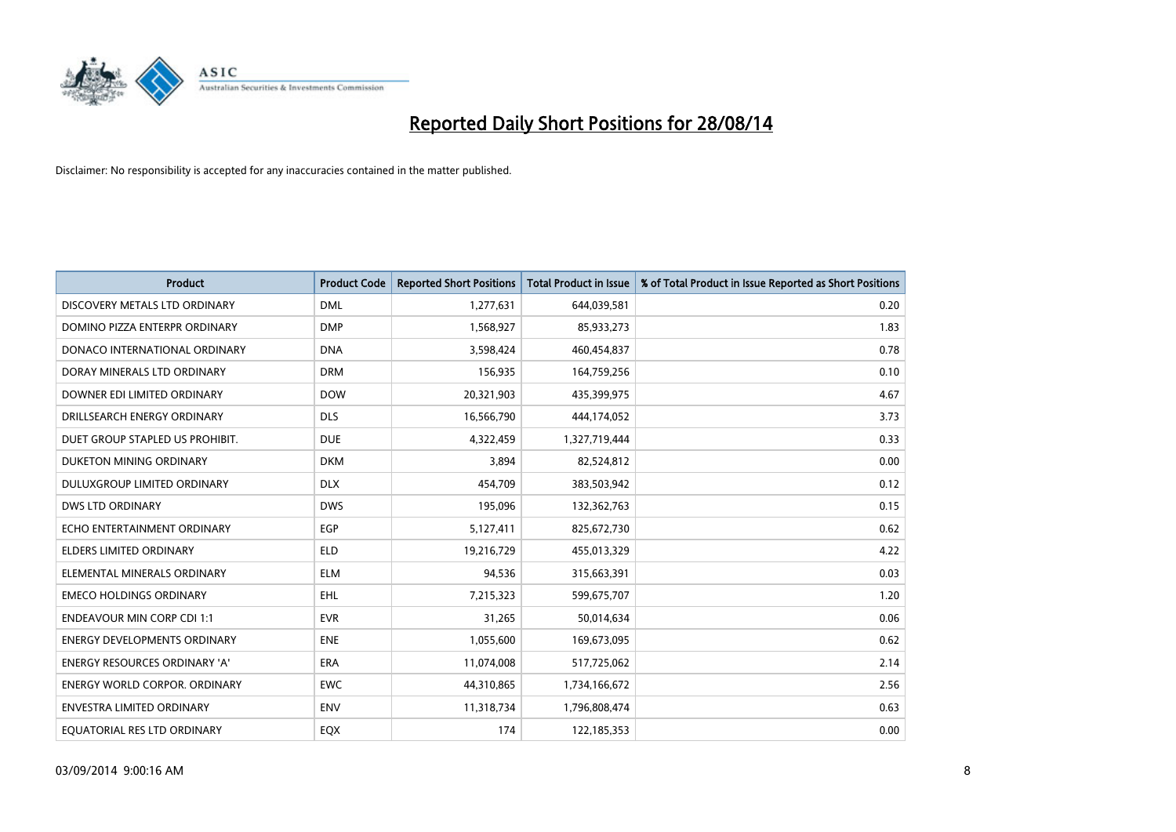

| <b>Product</b>                       | <b>Product Code</b> | <b>Reported Short Positions</b> | <b>Total Product in Issue</b> | % of Total Product in Issue Reported as Short Positions |
|--------------------------------------|---------------------|---------------------------------|-------------------------------|---------------------------------------------------------|
| DISCOVERY METALS LTD ORDINARY        | <b>DML</b>          | 1,277,631                       | 644,039,581                   | 0.20                                                    |
| DOMINO PIZZA ENTERPR ORDINARY        | <b>DMP</b>          | 1,568,927                       | 85,933,273                    | 1.83                                                    |
| DONACO INTERNATIONAL ORDINARY        | <b>DNA</b>          | 3,598,424                       | 460,454,837                   | 0.78                                                    |
| DORAY MINERALS LTD ORDINARY          | <b>DRM</b>          | 156,935                         | 164,759,256                   | 0.10                                                    |
| DOWNER EDI LIMITED ORDINARY          | <b>DOW</b>          | 20,321,903                      | 435,399,975                   | 4.67                                                    |
| DRILLSEARCH ENERGY ORDINARY          | <b>DLS</b>          | 16,566,790                      | 444,174,052                   | 3.73                                                    |
| DUET GROUP STAPLED US PROHIBIT.      | <b>DUE</b>          | 4,322,459                       | 1,327,719,444                 | 0.33                                                    |
| DUKETON MINING ORDINARY              | <b>DKM</b>          | 3,894                           | 82,524,812                    | 0.00                                                    |
| DULUXGROUP LIMITED ORDINARY          | <b>DLX</b>          | 454,709                         | 383,503,942                   | 0.12                                                    |
| DWS LTD ORDINARY                     | <b>DWS</b>          | 195,096                         | 132,362,763                   | 0.15                                                    |
| ECHO ENTERTAINMENT ORDINARY          | <b>EGP</b>          | 5,127,411                       | 825,672,730                   | 0.62                                                    |
| <b>ELDERS LIMITED ORDINARY</b>       | <b>ELD</b>          | 19,216,729                      | 455,013,329                   | 4.22                                                    |
| ELEMENTAL MINERALS ORDINARY          | <b>ELM</b>          | 94,536                          | 315,663,391                   | 0.03                                                    |
| <b>EMECO HOLDINGS ORDINARY</b>       | EHL                 | 7,215,323                       | 599,675,707                   | 1.20                                                    |
| <b>ENDEAVOUR MIN CORP CDI 1:1</b>    | <b>EVR</b>          | 31,265                          | 50,014,634                    | 0.06                                                    |
| <b>ENERGY DEVELOPMENTS ORDINARY</b>  | <b>ENE</b>          | 1,055,600                       | 169,673,095                   | 0.62                                                    |
| ENERGY RESOURCES ORDINARY 'A'        | ERA                 | 11,074,008                      | 517,725,062                   | 2.14                                                    |
| <b>ENERGY WORLD CORPOR. ORDINARY</b> | <b>EWC</b>          | 44,310,865                      | 1,734,166,672                 | 2.56                                                    |
| ENVESTRA LIMITED ORDINARY            | <b>ENV</b>          | 11,318,734                      | 1,796,808,474                 | 0.63                                                    |
| EQUATORIAL RES LTD ORDINARY          | EQX                 | 174                             | 122,185,353                   | 0.00                                                    |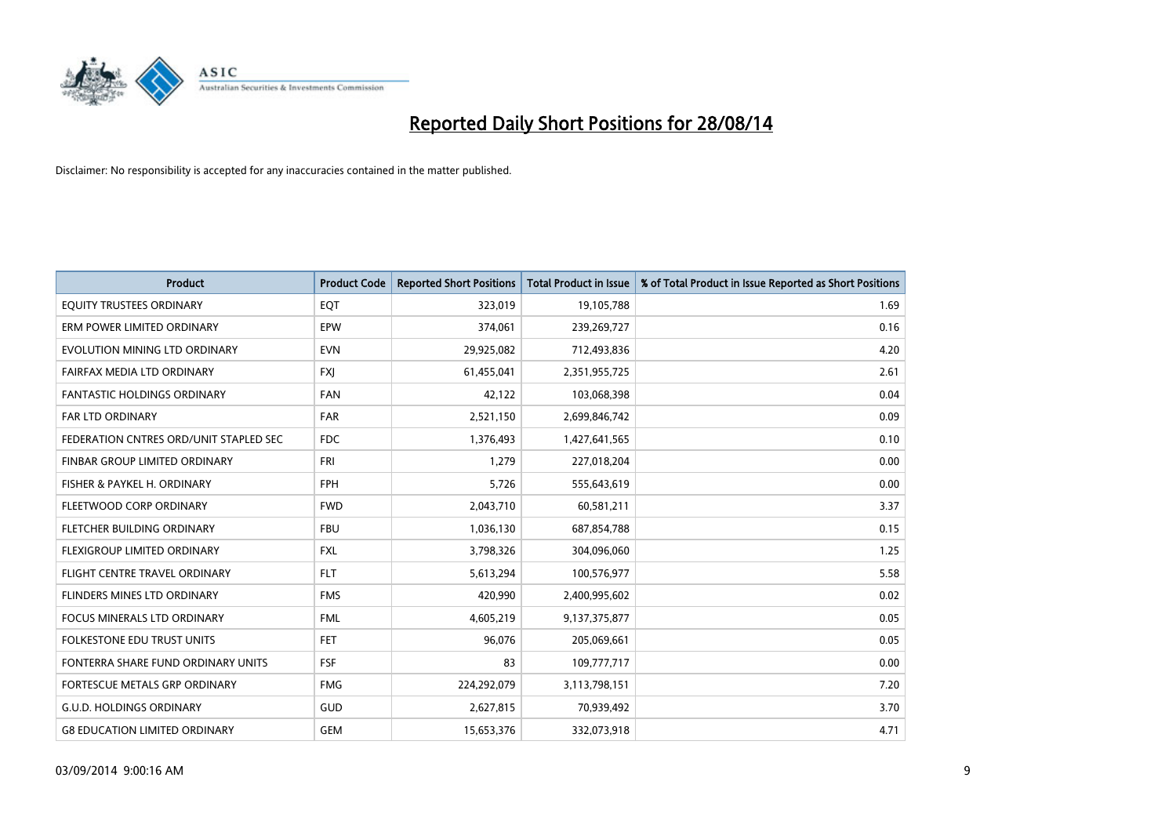

| <b>Product</b>                         | <b>Product Code</b> | <b>Reported Short Positions</b> | <b>Total Product in Issue</b> | % of Total Product in Issue Reported as Short Positions |
|----------------------------------------|---------------------|---------------------------------|-------------------------------|---------------------------------------------------------|
| EQUITY TRUSTEES ORDINARY               | EQT                 | 323,019                         | 19,105,788                    | 1.69                                                    |
| ERM POWER LIMITED ORDINARY             | <b>EPW</b>          | 374,061                         | 239,269,727                   | 0.16                                                    |
| EVOLUTION MINING LTD ORDINARY          | <b>EVN</b>          | 29,925,082                      | 712,493,836                   | 4.20                                                    |
| FAIRFAX MEDIA LTD ORDINARY             | <b>FXI</b>          | 61,455,041                      | 2,351,955,725                 | 2.61                                                    |
| <b>FANTASTIC HOLDINGS ORDINARY</b>     | <b>FAN</b>          | 42,122                          | 103,068,398                   | 0.04                                                    |
| <b>FAR LTD ORDINARY</b>                | <b>FAR</b>          | 2,521,150                       | 2,699,846,742                 | 0.09                                                    |
| FEDERATION CNTRES ORD/UNIT STAPLED SEC | <b>FDC</b>          | 1,376,493                       | 1,427,641,565                 | 0.10                                                    |
| FINBAR GROUP LIMITED ORDINARY          | <b>FRI</b>          | 1,279                           | 227,018,204                   | 0.00                                                    |
| FISHER & PAYKEL H. ORDINARY            | <b>FPH</b>          | 5,726                           | 555,643,619                   | 0.00                                                    |
| FLEETWOOD CORP ORDINARY                | <b>FWD</b>          | 2,043,710                       | 60,581,211                    | 3.37                                                    |
| FLETCHER BUILDING ORDINARY             | <b>FBU</b>          | 1,036,130                       | 687,854,788                   | 0.15                                                    |
| FLEXIGROUP LIMITED ORDINARY            | <b>FXL</b>          | 3,798,326                       | 304,096,060                   | 1.25                                                    |
| FLIGHT CENTRE TRAVEL ORDINARY          | <b>FLT</b>          | 5,613,294                       | 100,576,977                   | 5.58                                                    |
| FLINDERS MINES LTD ORDINARY            | <b>FMS</b>          | 420,990                         | 2,400,995,602                 | 0.02                                                    |
| FOCUS MINERALS LTD ORDINARY            | <b>FML</b>          | 4,605,219                       | 9,137,375,877                 | 0.05                                                    |
| FOLKESTONE EDU TRUST UNITS             | FET                 | 96,076                          | 205,069,661                   | 0.05                                                    |
| FONTERRA SHARE FUND ORDINARY UNITS     | <b>FSF</b>          | 83                              | 109,777,717                   | 0.00                                                    |
| FORTESCUE METALS GRP ORDINARY          | <b>FMG</b>          | 224,292,079                     | 3,113,798,151                 | 7.20                                                    |
| <b>G.U.D. HOLDINGS ORDINARY</b>        | GUD                 | 2,627,815                       | 70,939,492                    | 3.70                                                    |
| <b>G8 EDUCATION LIMITED ORDINARY</b>   | <b>GEM</b>          | 15,653,376                      | 332,073,918                   | 4.71                                                    |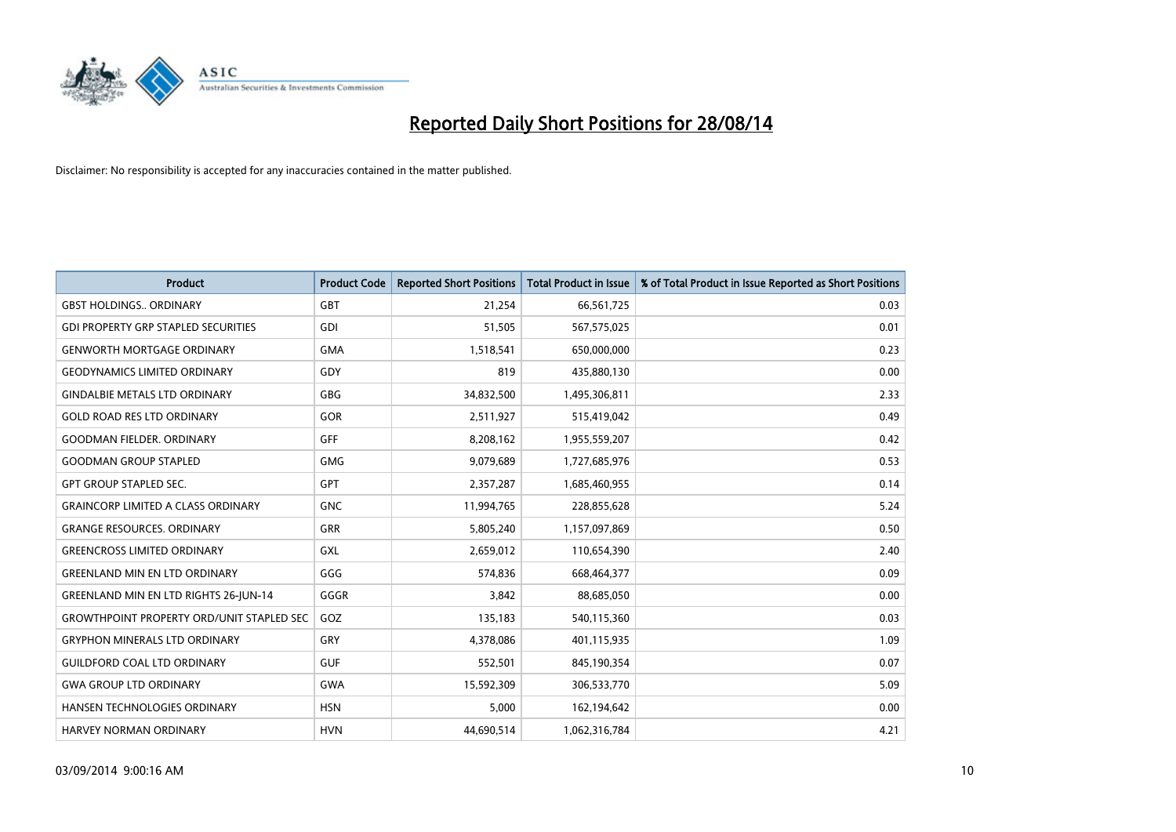

| <b>Product</b>                                    | <b>Product Code</b> | <b>Reported Short Positions</b> | <b>Total Product in Issue</b> | % of Total Product in Issue Reported as Short Positions |
|---------------------------------------------------|---------------------|---------------------------------|-------------------------------|---------------------------------------------------------|
| <b>GBST HOLDINGS., ORDINARY</b>                   | <b>GBT</b>          | 21,254                          | 66,561,725                    | 0.03                                                    |
| <b>GDI PROPERTY GRP STAPLED SECURITIES</b>        | GDI                 | 51,505                          | 567,575,025                   | 0.01                                                    |
| <b>GENWORTH MORTGAGE ORDINARY</b>                 | <b>GMA</b>          | 1,518,541                       | 650,000,000                   | 0.23                                                    |
| <b>GEODYNAMICS LIMITED ORDINARY</b>               | GDY                 | 819                             | 435,880,130                   | 0.00                                                    |
| <b>GINDALBIE METALS LTD ORDINARY</b>              | <b>GBG</b>          | 34,832,500                      | 1,495,306,811                 | 2.33                                                    |
| <b>GOLD ROAD RES LTD ORDINARY</b>                 | <b>GOR</b>          | 2,511,927                       | 515,419,042                   | 0.49                                                    |
| <b>GOODMAN FIELDER, ORDINARY</b>                  | <b>GFF</b>          | 8,208,162                       | 1,955,559,207                 | 0.42                                                    |
| <b>GOODMAN GROUP STAPLED</b>                      | <b>GMG</b>          | 9,079,689                       | 1,727,685,976                 | 0.53                                                    |
| <b>GPT GROUP STAPLED SEC.</b>                     | <b>GPT</b>          | 2,357,287                       | 1,685,460,955                 | 0.14                                                    |
| <b>GRAINCORP LIMITED A CLASS ORDINARY</b>         | <b>GNC</b>          | 11,994,765                      | 228,855,628                   | 5.24                                                    |
| <b>GRANGE RESOURCES. ORDINARY</b>                 | GRR                 | 5,805,240                       | 1,157,097,869                 | 0.50                                                    |
| <b>GREENCROSS LIMITED ORDINARY</b>                | GXL                 | 2,659,012                       | 110,654,390                   | 2.40                                                    |
| <b>GREENLAND MIN EN LTD ORDINARY</b>              | GGG                 | 574,836                         | 668,464,377                   | 0.09                                                    |
| <b>GREENLAND MIN EN LTD RIGHTS 26-JUN-14</b>      | GGGR                | 3,842                           | 88,685,050                    | 0.00                                                    |
| <b>GROWTHPOINT PROPERTY ORD/UNIT STAPLED SEC.</b> | GOZ                 | 135,183                         | 540,115,360                   | 0.03                                                    |
| <b>GRYPHON MINERALS LTD ORDINARY</b>              | GRY                 | 4,378,086                       | 401,115,935                   | 1.09                                                    |
| <b>GUILDFORD COAL LTD ORDINARY</b>                | <b>GUF</b>          | 552,501                         | 845,190,354                   | 0.07                                                    |
| <b>GWA GROUP LTD ORDINARY</b>                     | <b>GWA</b>          | 15,592,309                      | 306,533,770                   | 5.09                                                    |
| HANSEN TECHNOLOGIES ORDINARY                      | <b>HSN</b>          | 5,000                           | 162,194,642                   | 0.00                                                    |
| <b>HARVEY NORMAN ORDINARY</b>                     | <b>HVN</b>          | 44,690,514                      | 1,062,316,784                 | 4.21                                                    |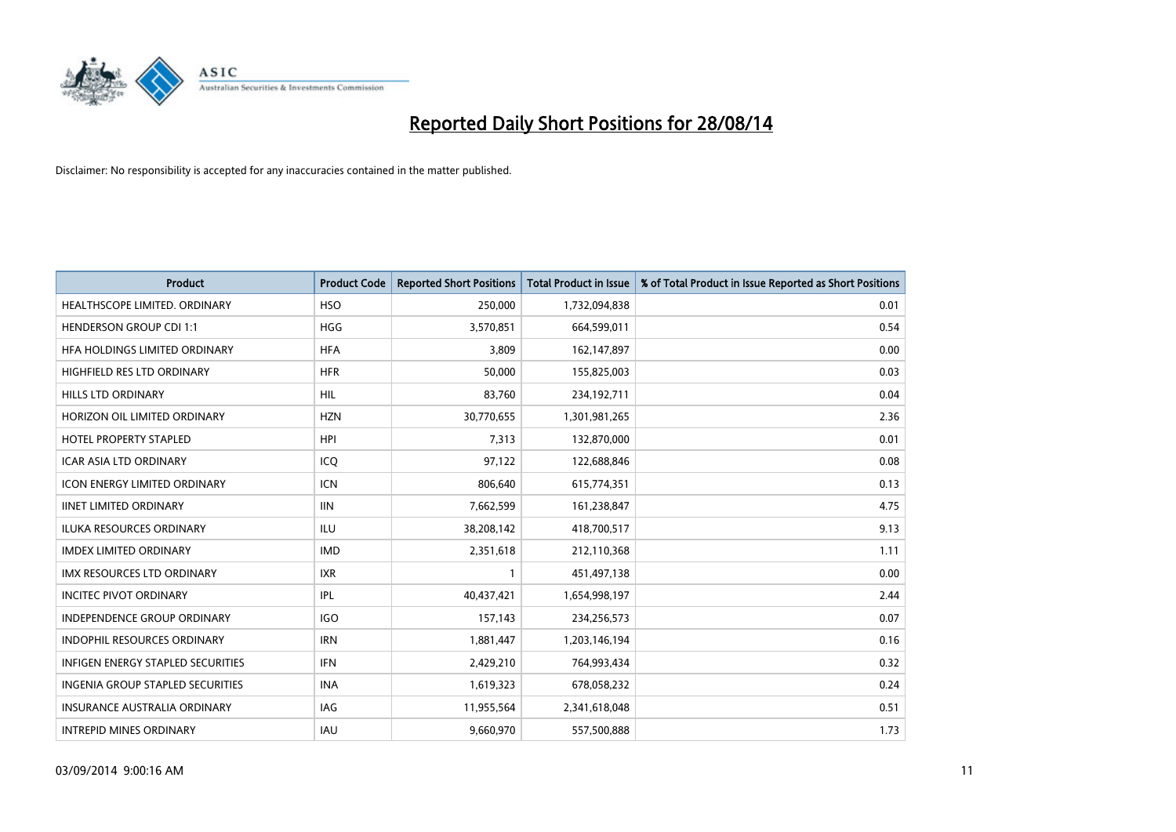

| <b>Product</b>                      | <b>Product Code</b> | <b>Reported Short Positions</b> | <b>Total Product in Issue</b> | % of Total Product in Issue Reported as Short Positions |
|-------------------------------------|---------------------|---------------------------------|-------------------------------|---------------------------------------------------------|
| HEALTHSCOPE LIMITED. ORDINARY       | <b>HSO</b>          | 250,000                         | 1,732,094,838                 | 0.01                                                    |
| <b>HENDERSON GROUP CDI 1:1</b>      | <b>HGG</b>          | 3,570,851                       | 664,599,011                   | 0.54                                                    |
| HFA HOLDINGS LIMITED ORDINARY       | <b>HFA</b>          | 3,809                           | 162,147,897                   | 0.00                                                    |
| HIGHFIELD RES LTD ORDINARY          | <b>HFR</b>          | 50,000                          | 155,825,003                   | 0.03                                                    |
| <b>HILLS LTD ORDINARY</b>           | HIL                 | 83,760                          | 234,192,711                   | 0.04                                                    |
| HORIZON OIL LIMITED ORDINARY        | <b>HZN</b>          | 30,770,655                      | 1,301,981,265                 | 2.36                                                    |
| <b>HOTEL PROPERTY STAPLED</b>       | <b>HPI</b>          | 7,313                           | 132,870,000                   | 0.01                                                    |
| ICAR ASIA LTD ORDINARY              | ICQ                 | 97,122                          | 122,688,846                   | 0.08                                                    |
| <b>ICON ENERGY LIMITED ORDINARY</b> | <b>ICN</b>          | 806,640                         | 615,774,351                   | 0.13                                                    |
| <b>IINET LIMITED ORDINARY</b>       | <b>IIN</b>          | 7,662,599                       | 161,238,847                   | 4.75                                                    |
| ILUKA RESOURCES ORDINARY            | ILU                 | 38,208,142                      | 418,700,517                   | 9.13                                                    |
| <b>IMDEX LIMITED ORDINARY</b>       | <b>IMD</b>          | 2,351,618                       | 212,110,368                   | 1.11                                                    |
| IMX RESOURCES LTD ORDINARY          | <b>IXR</b>          | $\mathbf{1}$                    | 451,497,138                   | 0.00                                                    |
| <b>INCITEC PIVOT ORDINARY</b>       | IPL                 | 40,437,421                      | 1,654,998,197                 | 2.44                                                    |
| <b>INDEPENDENCE GROUP ORDINARY</b>  | <b>IGO</b>          | 157,143                         | 234,256,573                   | 0.07                                                    |
| INDOPHIL RESOURCES ORDINARY         | <b>IRN</b>          | 1,881,447                       | 1,203,146,194                 | 0.16                                                    |
| INFIGEN ENERGY STAPLED SECURITIES   | <b>IFN</b>          | 2,429,210                       | 764,993,434                   | 0.32                                                    |
| INGENIA GROUP STAPLED SECURITIES    | <b>INA</b>          | 1,619,323                       | 678,058,232                   | 0.24                                                    |
| <b>INSURANCE AUSTRALIA ORDINARY</b> | <b>IAG</b>          | 11,955,564                      | 2,341,618,048                 | 0.51                                                    |
| <b>INTREPID MINES ORDINARY</b>      | IAU                 | 9,660,970                       | 557,500,888                   | 1.73                                                    |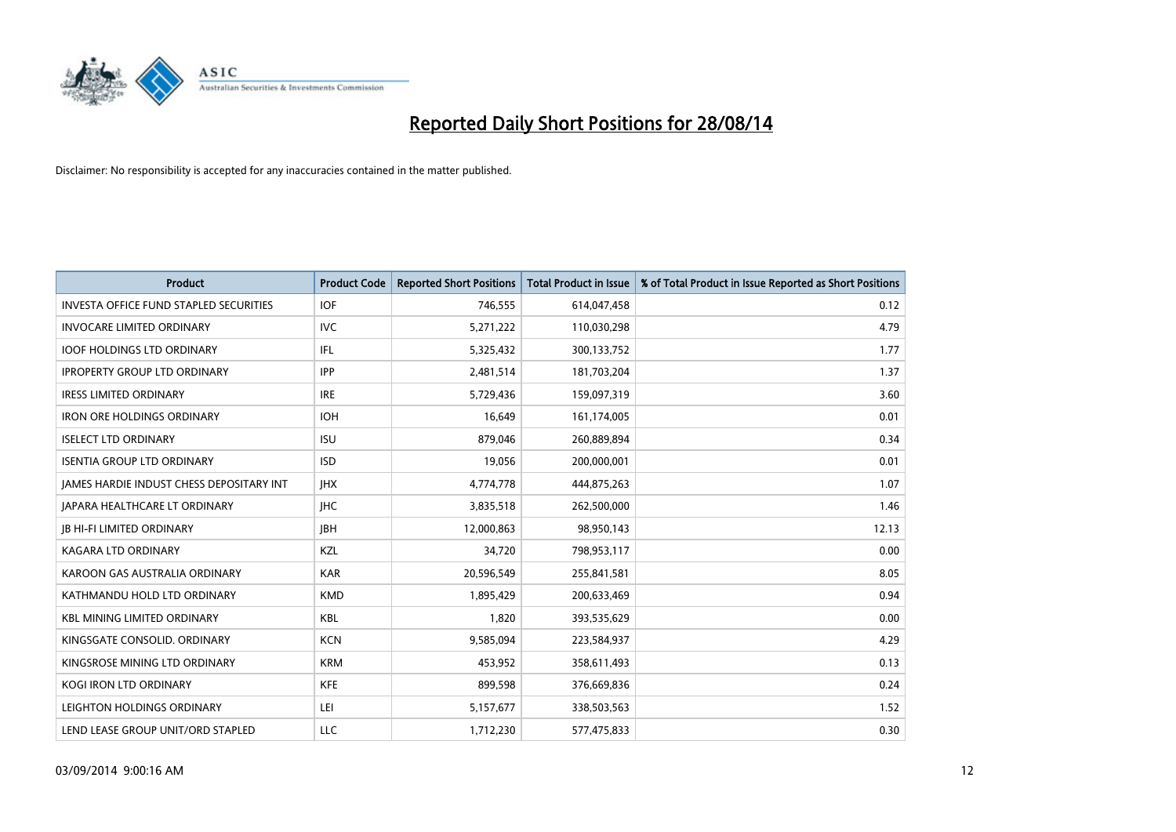

| <b>Product</b>                                  | <b>Product Code</b> | <b>Reported Short Positions</b> | <b>Total Product in Issue</b> | % of Total Product in Issue Reported as Short Positions |
|-------------------------------------------------|---------------------|---------------------------------|-------------------------------|---------------------------------------------------------|
| <b>INVESTA OFFICE FUND STAPLED SECURITIES</b>   | <b>IOF</b>          | 746,555                         | 614,047,458                   | 0.12                                                    |
| <b>INVOCARE LIMITED ORDINARY</b>                | IVC                 | 5,271,222                       | 110,030,298                   | 4.79                                                    |
| <b>IOOF HOLDINGS LTD ORDINARY</b>               | IFL                 | 5,325,432                       | 300,133,752                   | 1.77                                                    |
| <b>IPROPERTY GROUP LTD ORDINARY</b>             | <b>IPP</b>          | 2,481,514                       | 181,703,204                   | 1.37                                                    |
| <b>IRESS LIMITED ORDINARY</b>                   | <b>IRE</b>          | 5,729,436                       | 159,097,319                   | 3.60                                                    |
| <b>IRON ORE HOLDINGS ORDINARY</b>               | <b>IOH</b>          | 16,649                          | 161,174,005                   | 0.01                                                    |
| <b>ISELECT LTD ORDINARY</b>                     | <b>ISU</b>          | 879,046                         | 260,889,894                   | 0.34                                                    |
| <b>ISENTIA GROUP LTD ORDINARY</b>               | <b>ISD</b>          | 19,056                          | 200,000,001                   | 0.01                                                    |
| <b>JAMES HARDIE INDUST CHESS DEPOSITARY INT</b> | <b>IHX</b>          | 4,774,778                       | 444,875,263                   | 1.07                                                    |
| JAPARA HEALTHCARE LT ORDINARY                   | <b>IHC</b>          | 3,835,518                       | 262,500,000                   | 1.46                                                    |
| <b>JB HI-FI LIMITED ORDINARY</b>                | <b>JBH</b>          | 12,000,863                      | 98,950,143                    | 12.13                                                   |
| <b>KAGARA LTD ORDINARY</b>                      | KZL                 | 34,720                          | 798,953,117                   | 0.00                                                    |
| KAROON GAS AUSTRALIA ORDINARY                   | <b>KAR</b>          | 20,596,549                      | 255,841,581                   | 8.05                                                    |
| KATHMANDU HOLD LTD ORDINARY                     | <b>KMD</b>          | 1,895,429                       | 200,633,469                   | 0.94                                                    |
| <b>KBL MINING LIMITED ORDINARY</b>              | <b>KBL</b>          | 1,820                           | 393,535,629                   | 0.00                                                    |
| KINGSGATE CONSOLID. ORDINARY                    | <b>KCN</b>          | 9,585,094                       | 223,584,937                   | 4.29                                                    |
| KINGSROSE MINING LTD ORDINARY                   | <b>KRM</b>          | 453,952                         | 358,611,493                   | 0.13                                                    |
| <b>KOGI IRON LTD ORDINARY</b>                   | <b>KFE</b>          | 899,598                         | 376,669,836                   | 0.24                                                    |
| LEIGHTON HOLDINGS ORDINARY                      | LEI                 | 5,157,677                       | 338,503,563                   | 1.52                                                    |
| LEND LEASE GROUP UNIT/ORD STAPLED               | <b>LLC</b>          | 1,712,230                       | 577,475,833                   | 0.30                                                    |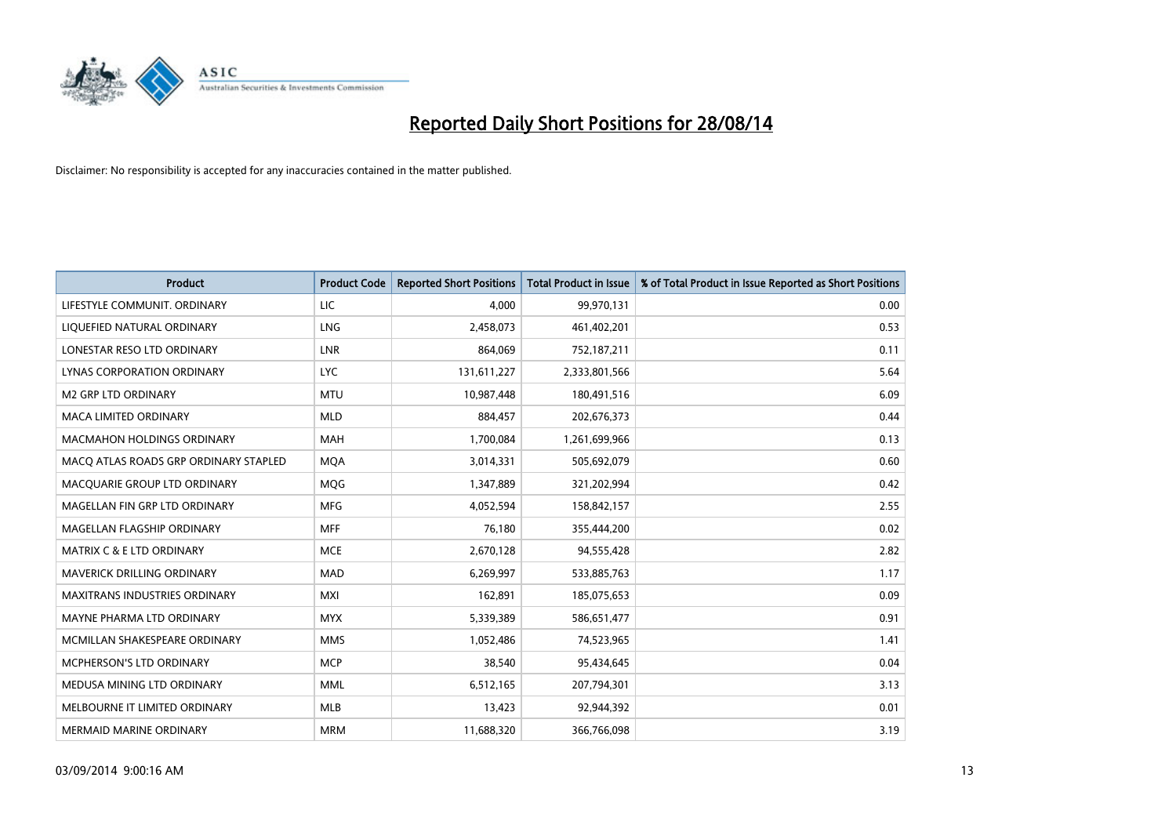

| <b>Product</b>                        | <b>Product Code</b> | <b>Reported Short Positions</b> | <b>Total Product in Issue</b> | % of Total Product in Issue Reported as Short Positions |
|---------------------------------------|---------------------|---------------------------------|-------------------------------|---------------------------------------------------------|
| LIFESTYLE COMMUNIT, ORDINARY          | <b>LIC</b>          | 4,000                           | 99,970,131                    | 0.00                                                    |
| LIQUEFIED NATURAL ORDINARY            | <b>LNG</b>          | 2,458,073                       | 461,402,201                   | 0.53                                                    |
| LONESTAR RESO LTD ORDINARY            | <b>LNR</b>          | 864,069                         | 752,187,211                   | 0.11                                                    |
| LYNAS CORPORATION ORDINARY            | <b>LYC</b>          | 131,611,227                     | 2,333,801,566                 | 5.64                                                    |
| <b>M2 GRP LTD ORDINARY</b>            | <b>MTU</b>          | 10,987,448                      | 180,491,516                   | 6.09                                                    |
| <b>MACA LIMITED ORDINARY</b>          | <b>MLD</b>          | 884,457                         | 202,676,373                   | 0.44                                                    |
| <b>MACMAHON HOLDINGS ORDINARY</b>     | MAH                 | 1,700,084                       | 1,261,699,966                 | 0.13                                                    |
| MACO ATLAS ROADS GRP ORDINARY STAPLED | <b>MQA</b>          | 3,014,331                       | 505,692,079                   | 0.60                                                    |
| MACQUARIE GROUP LTD ORDINARY          | MQG                 | 1,347,889                       | 321,202,994                   | 0.42                                                    |
| MAGELLAN FIN GRP LTD ORDINARY         | <b>MFG</b>          | 4,052,594                       | 158,842,157                   | 2.55                                                    |
| MAGELLAN FLAGSHIP ORDINARY            | <b>MFF</b>          | 76,180                          | 355,444,200                   | 0.02                                                    |
| <b>MATRIX C &amp; E LTD ORDINARY</b>  | <b>MCE</b>          | 2,670,128                       | 94,555,428                    | 2.82                                                    |
| MAVERICK DRILLING ORDINARY            | <b>MAD</b>          | 6,269,997                       | 533,885,763                   | 1.17                                                    |
| <b>MAXITRANS INDUSTRIES ORDINARY</b>  | <b>MXI</b>          | 162,891                         | 185,075,653                   | 0.09                                                    |
| MAYNE PHARMA LTD ORDINARY             | <b>MYX</b>          | 5,339,389                       | 586,651,477                   | 0.91                                                    |
| MCMILLAN SHAKESPEARE ORDINARY         | <b>MMS</b>          | 1,052,486                       | 74,523,965                    | 1.41                                                    |
| MCPHERSON'S LTD ORDINARY              | <b>MCP</b>          | 38,540                          | 95,434,645                    | 0.04                                                    |
| MEDUSA MINING LTD ORDINARY            | <b>MML</b>          | 6,512,165                       | 207,794,301                   | 3.13                                                    |
| MELBOURNE IT LIMITED ORDINARY         | <b>MLB</b>          | 13,423                          | 92,944,392                    | 0.01                                                    |
| <b>MERMAID MARINE ORDINARY</b>        | <b>MRM</b>          | 11,688,320                      | 366,766,098                   | 3.19                                                    |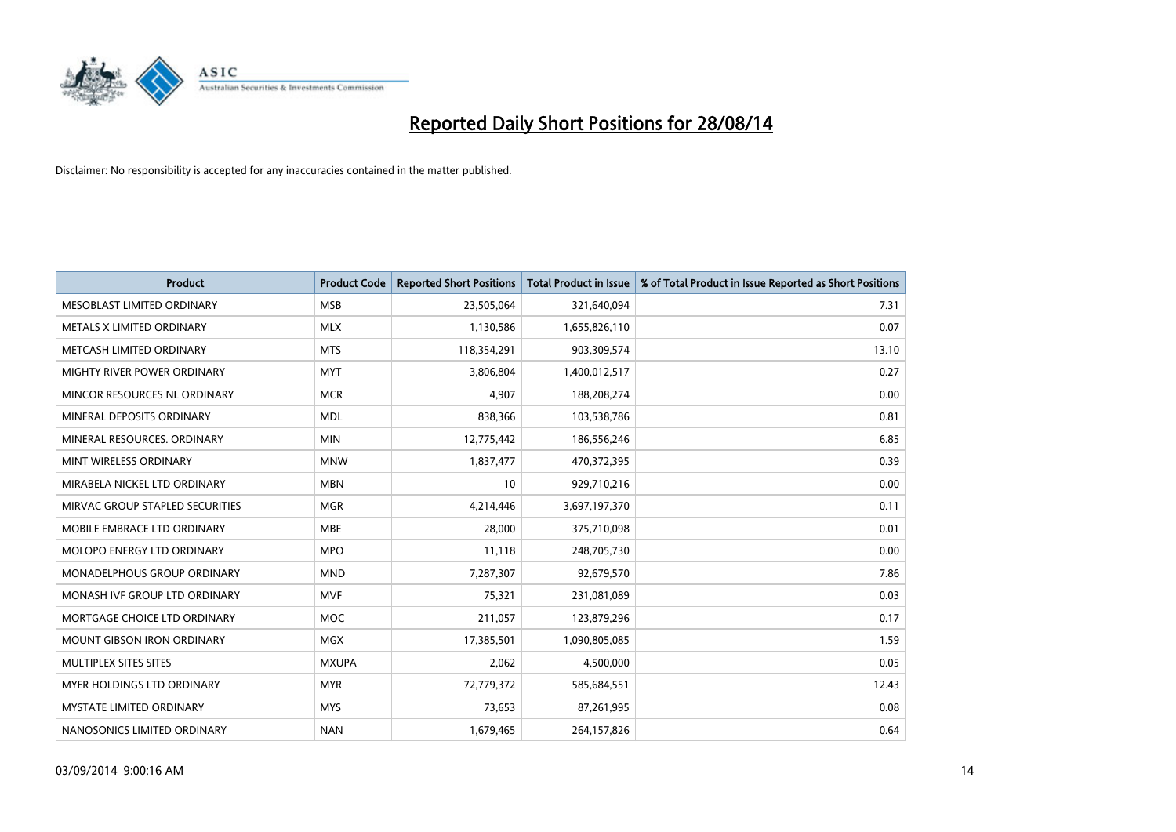

| <b>Product</b>                    | <b>Product Code</b> | <b>Reported Short Positions</b> | <b>Total Product in Issue</b> | % of Total Product in Issue Reported as Short Positions |
|-----------------------------------|---------------------|---------------------------------|-------------------------------|---------------------------------------------------------|
| MESOBLAST LIMITED ORDINARY        | <b>MSB</b>          | 23,505,064                      | 321,640,094                   | 7.31                                                    |
| METALS X LIMITED ORDINARY         | <b>MLX</b>          | 1,130,586                       | 1,655,826,110                 | 0.07                                                    |
| METCASH LIMITED ORDINARY          | <b>MTS</b>          | 118,354,291                     | 903,309,574                   | 13.10                                                   |
| MIGHTY RIVER POWER ORDINARY       | <b>MYT</b>          | 3,806,804                       | 1,400,012,517                 | 0.27                                                    |
| MINCOR RESOURCES NL ORDINARY      | <b>MCR</b>          | 4,907                           | 188,208,274                   | 0.00                                                    |
| MINERAL DEPOSITS ORDINARY         | <b>MDL</b>          | 838,366                         | 103,538,786                   | 0.81                                                    |
| MINERAL RESOURCES, ORDINARY       | <b>MIN</b>          | 12,775,442                      | 186,556,246                   | 6.85                                                    |
| MINT WIRELESS ORDINARY            | <b>MNW</b>          | 1,837,477                       | 470,372,395                   | 0.39                                                    |
| MIRABELA NICKEL LTD ORDINARY      | <b>MBN</b>          | 10                              | 929,710,216                   | 0.00                                                    |
| MIRVAC GROUP STAPLED SECURITIES   | <b>MGR</b>          | 4,214,446                       | 3,697,197,370                 | 0.11                                                    |
| MOBILE EMBRACE LTD ORDINARY       | <b>MBE</b>          | 28,000                          | 375,710,098                   | 0.01                                                    |
| MOLOPO ENERGY LTD ORDINARY        | <b>MPO</b>          | 11,118                          | 248,705,730                   | 0.00                                                    |
| MONADELPHOUS GROUP ORDINARY       | <b>MND</b>          | 7,287,307                       | 92,679,570                    | 7.86                                                    |
| MONASH IVF GROUP LTD ORDINARY     | <b>MVF</b>          | 75,321                          | 231,081,089                   | 0.03                                                    |
| MORTGAGE CHOICE LTD ORDINARY      | <b>MOC</b>          | 211,057                         | 123,879,296                   | 0.17                                                    |
| <b>MOUNT GIBSON IRON ORDINARY</b> | <b>MGX</b>          | 17,385,501                      | 1,090,805,085                 | 1.59                                                    |
| MULTIPLEX SITES SITES             | <b>MXUPA</b>        | 2,062                           | 4,500,000                     | 0.05                                                    |
| MYER HOLDINGS LTD ORDINARY        | <b>MYR</b>          | 72,779,372                      | 585,684,551                   | 12.43                                                   |
| <b>MYSTATE LIMITED ORDINARY</b>   | <b>MYS</b>          | 73,653                          | 87,261,995                    | 0.08                                                    |
| NANOSONICS LIMITED ORDINARY       | <b>NAN</b>          | 1,679,465                       | 264,157,826                   | 0.64                                                    |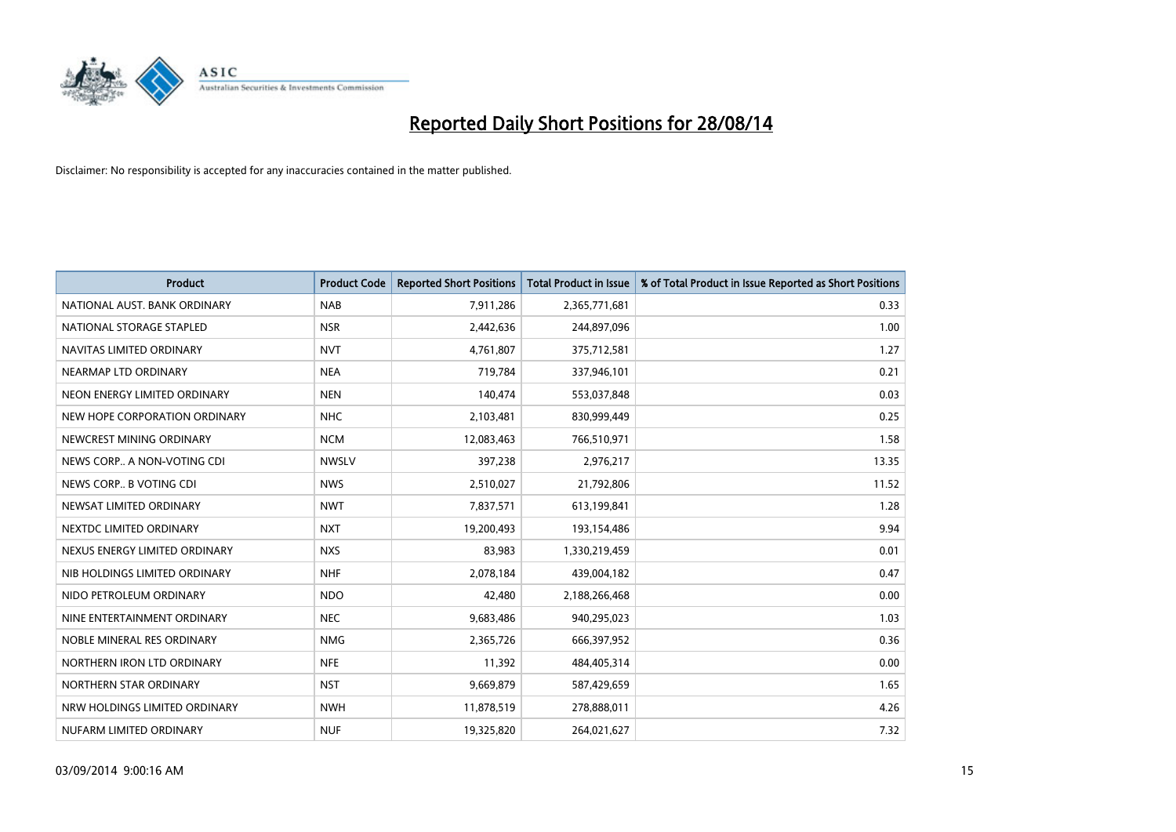

| <b>Product</b>                | <b>Product Code</b> | <b>Reported Short Positions</b> | <b>Total Product in Issue</b> | % of Total Product in Issue Reported as Short Positions |
|-------------------------------|---------------------|---------------------------------|-------------------------------|---------------------------------------------------------|
| NATIONAL AUST, BANK ORDINARY  | <b>NAB</b>          | 7,911,286                       | 2,365,771,681                 | 0.33                                                    |
| NATIONAL STORAGE STAPLED      | <b>NSR</b>          | 2,442,636                       | 244,897,096                   | 1.00                                                    |
| NAVITAS LIMITED ORDINARY      | <b>NVT</b>          | 4,761,807                       | 375,712,581                   | 1.27                                                    |
| NEARMAP LTD ORDINARY          | <b>NEA</b>          | 719,784                         | 337,946,101                   | 0.21                                                    |
| NEON ENERGY LIMITED ORDINARY  | <b>NEN</b>          | 140,474                         | 553,037,848                   | 0.03                                                    |
| NEW HOPE CORPORATION ORDINARY | <b>NHC</b>          | 2,103,481                       | 830,999,449                   | 0.25                                                    |
| NEWCREST MINING ORDINARY      | <b>NCM</b>          | 12,083,463                      | 766,510,971                   | 1.58                                                    |
| NEWS CORP A NON-VOTING CDI    | <b>NWSLV</b>        | 397,238                         | 2,976,217                     | 13.35                                                   |
| NEWS CORP B VOTING CDI        | <b>NWS</b>          | 2,510,027                       | 21,792,806                    | 11.52                                                   |
| NEWSAT LIMITED ORDINARY       | <b>NWT</b>          | 7,837,571                       | 613,199,841                   | 1.28                                                    |
| NEXTDC LIMITED ORDINARY       | <b>NXT</b>          | 19,200,493                      | 193,154,486                   | 9.94                                                    |
| NEXUS ENERGY LIMITED ORDINARY | <b>NXS</b>          | 83,983                          | 1,330,219,459                 | 0.01                                                    |
| NIB HOLDINGS LIMITED ORDINARY | <b>NHF</b>          | 2,078,184                       | 439,004,182                   | 0.47                                                    |
| NIDO PETROLEUM ORDINARY       | <b>NDO</b>          | 42,480                          | 2,188,266,468                 | 0.00                                                    |
| NINE ENTERTAINMENT ORDINARY   | <b>NEC</b>          | 9,683,486                       | 940,295,023                   | 1.03                                                    |
| NOBLE MINERAL RES ORDINARY    | <b>NMG</b>          | 2,365,726                       | 666,397,952                   | 0.36                                                    |
| NORTHERN IRON LTD ORDINARY    | <b>NFE</b>          | 11,392                          | 484,405,314                   | 0.00                                                    |
| NORTHERN STAR ORDINARY        | <b>NST</b>          | 9,669,879                       | 587,429,659                   | 1.65                                                    |
| NRW HOLDINGS LIMITED ORDINARY | <b>NWH</b>          | 11,878,519                      | 278,888,011                   | 4.26                                                    |
| NUFARM LIMITED ORDINARY       | <b>NUF</b>          | 19,325,820                      | 264,021,627                   | 7.32                                                    |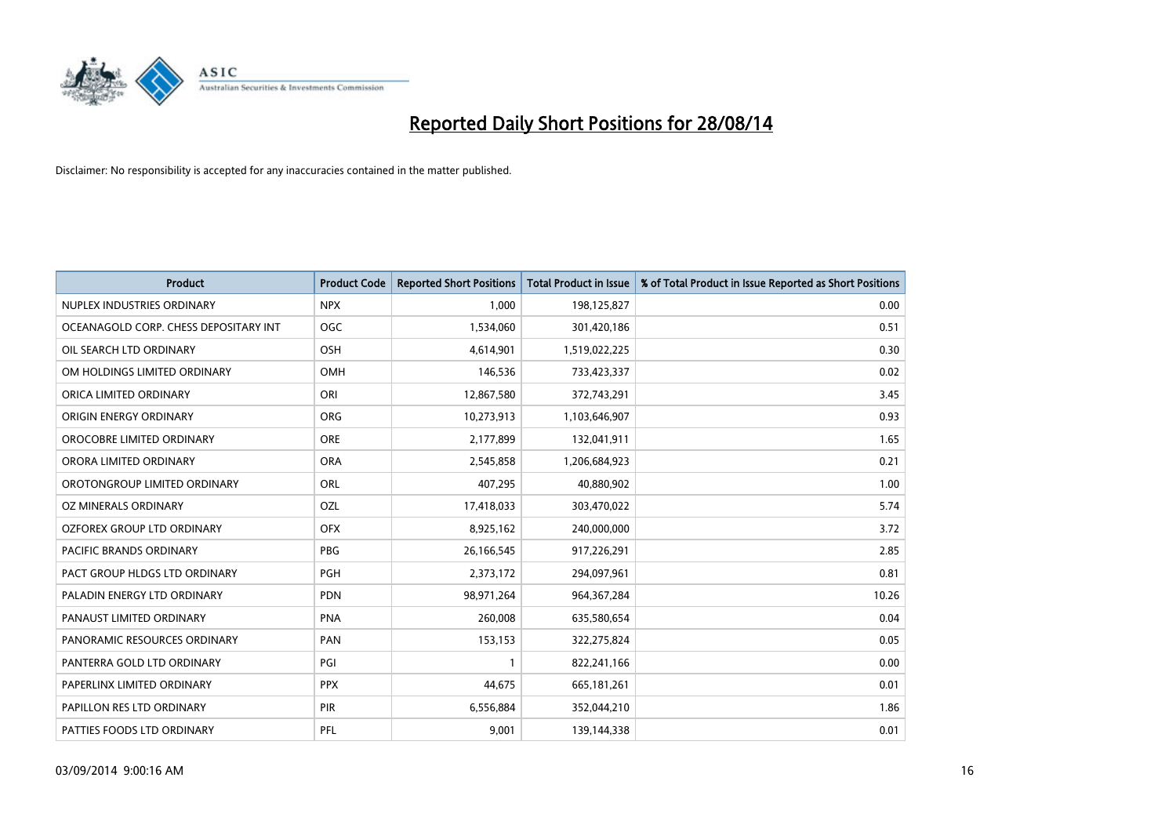

| <b>Product</b>                        | <b>Product Code</b> | <b>Reported Short Positions</b> | <b>Total Product in Issue</b> | % of Total Product in Issue Reported as Short Positions |
|---------------------------------------|---------------------|---------------------------------|-------------------------------|---------------------------------------------------------|
| NUPLEX INDUSTRIES ORDINARY            | <b>NPX</b>          | 1.000                           | 198,125,827                   | 0.00                                                    |
| OCEANAGOLD CORP. CHESS DEPOSITARY INT | <b>OGC</b>          | 1,534,060                       | 301,420,186                   | 0.51                                                    |
| OIL SEARCH LTD ORDINARY               | OSH                 | 4,614,901                       | 1,519,022,225                 | 0.30                                                    |
| OM HOLDINGS LIMITED ORDINARY          | <b>OMH</b>          | 146,536                         | 733,423,337                   | 0.02                                                    |
| ORICA LIMITED ORDINARY                | ORI                 | 12,867,580                      | 372,743,291                   | 3.45                                                    |
| ORIGIN ENERGY ORDINARY                | <b>ORG</b>          | 10,273,913                      | 1,103,646,907                 | 0.93                                                    |
| OROCOBRE LIMITED ORDINARY             | <b>ORE</b>          | 2,177,899                       | 132,041,911                   | 1.65                                                    |
| ORORA LIMITED ORDINARY                | <b>ORA</b>          | 2,545,858                       | 1,206,684,923                 | 0.21                                                    |
| OROTONGROUP LIMITED ORDINARY          | ORL                 | 407,295                         | 40,880,902                    | 1.00                                                    |
| <b>OZ MINERALS ORDINARY</b>           | <b>OZL</b>          | 17,418,033                      | 303,470,022                   | 5.74                                                    |
| OZFOREX GROUP LTD ORDINARY            | <b>OFX</b>          | 8,925,162                       | 240,000,000                   | 3.72                                                    |
| PACIFIC BRANDS ORDINARY               | <b>PBG</b>          | 26,166,545                      | 917,226,291                   | 2.85                                                    |
| PACT GROUP HLDGS LTD ORDINARY         | <b>PGH</b>          | 2,373,172                       | 294,097,961                   | 0.81                                                    |
| PALADIN ENERGY LTD ORDINARY           | <b>PDN</b>          | 98,971,264                      | 964, 367, 284                 | 10.26                                                   |
| PANAUST LIMITED ORDINARY              | <b>PNA</b>          | 260,008                         | 635,580,654                   | 0.04                                                    |
| PANORAMIC RESOURCES ORDINARY          | PAN                 | 153,153                         | 322,275,824                   | 0.05                                                    |
| PANTERRA GOLD LTD ORDINARY            | PGI                 | $\mathbf{1}$                    | 822,241,166                   | 0.00                                                    |
| PAPERLINX LIMITED ORDINARY            | <b>PPX</b>          | 44,675                          | 665,181,261                   | 0.01                                                    |
| PAPILLON RES LTD ORDINARY             | PIR                 | 6,556,884                       | 352,044,210                   | 1.86                                                    |
| PATTIES FOODS LTD ORDINARY            | PFL                 | 9,001                           | 139,144,338                   | 0.01                                                    |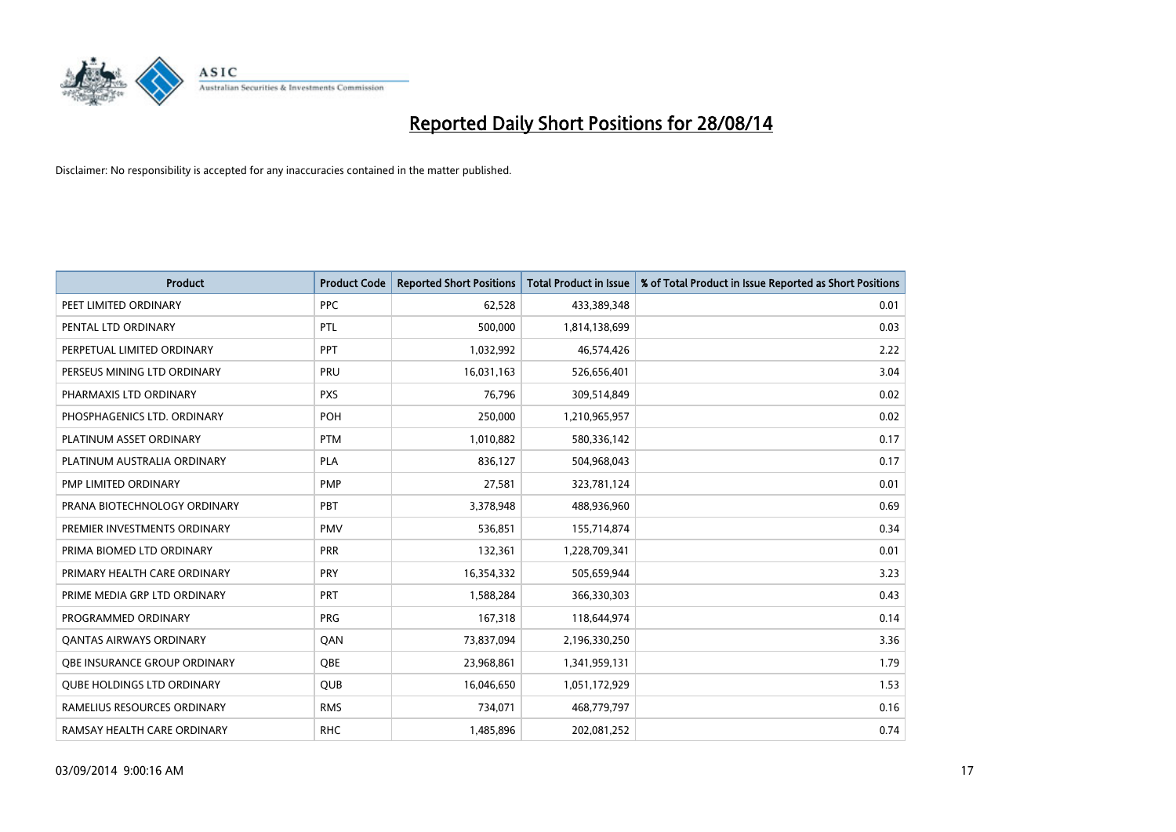

| <b>Product</b>                    | <b>Product Code</b> | <b>Reported Short Positions</b> | <b>Total Product in Issue</b> | % of Total Product in Issue Reported as Short Positions |
|-----------------------------------|---------------------|---------------------------------|-------------------------------|---------------------------------------------------------|
| PEET LIMITED ORDINARY             | <b>PPC</b>          | 62,528                          | 433,389,348                   | 0.01                                                    |
| PENTAL LTD ORDINARY               | PTL                 | 500,000                         | 1,814,138,699                 | 0.03                                                    |
| PERPETUAL LIMITED ORDINARY        | PPT                 | 1,032,992                       | 46,574,426                    | 2.22                                                    |
| PERSEUS MINING LTD ORDINARY       | <b>PRU</b>          | 16,031,163                      | 526,656,401                   | 3.04                                                    |
| PHARMAXIS LTD ORDINARY            | <b>PXS</b>          | 76,796                          | 309,514,849                   | 0.02                                                    |
| PHOSPHAGENICS LTD. ORDINARY       | POH                 | 250,000                         | 1,210,965,957                 | 0.02                                                    |
| PLATINUM ASSET ORDINARY           | <b>PTM</b>          | 1,010,882                       | 580,336,142                   | 0.17                                                    |
| PLATINUM AUSTRALIA ORDINARY       | <b>PLA</b>          | 836,127                         | 504,968,043                   | 0.17                                                    |
| PMP LIMITED ORDINARY              | <b>PMP</b>          | 27,581                          | 323,781,124                   | 0.01                                                    |
| PRANA BIOTECHNOLOGY ORDINARY      | <b>PBT</b>          | 3,378,948                       | 488,936,960                   | 0.69                                                    |
| PREMIER INVESTMENTS ORDINARY      | <b>PMV</b>          | 536,851                         | 155,714,874                   | 0.34                                                    |
| PRIMA BIOMED LTD ORDINARY         | <b>PRR</b>          | 132,361                         | 1,228,709,341                 | 0.01                                                    |
| PRIMARY HEALTH CARE ORDINARY      | <b>PRY</b>          | 16,354,332                      | 505,659,944                   | 3.23                                                    |
| PRIME MEDIA GRP LTD ORDINARY      | <b>PRT</b>          | 1,588,284                       | 366,330,303                   | 0.43                                                    |
| PROGRAMMED ORDINARY               | <b>PRG</b>          | 167,318                         | 118,644,974                   | 0.14                                                    |
| <b>QANTAS AIRWAYS ORDINARY</b>    | QAN                 | 73,837,094                      | 2,196,330,250                 | 3.36                                                    |
| OBE INSURANCE GROUP ORDINARY      | <b>OBE</b>          | 23,968,861                      | 1,341,959,131                 | 1.79                                                    |
| <b>QUBE HOLDINGS LTD ORDINARY</b> | QUB                 | 16,046,650                      | 1,051,172,929                 | 1.53                                                    |
| RAMELIUS RESOURCES ORDINARY       | <b>RMS</b>          | 734,071                         | 468,779,797                   | 0.16                                                    |
| RAMSAY HEALTH CARE ORDINARY       | <b>RHC</b>          | 1,485,896                       | 202,081,252                   | 0.74                                                    |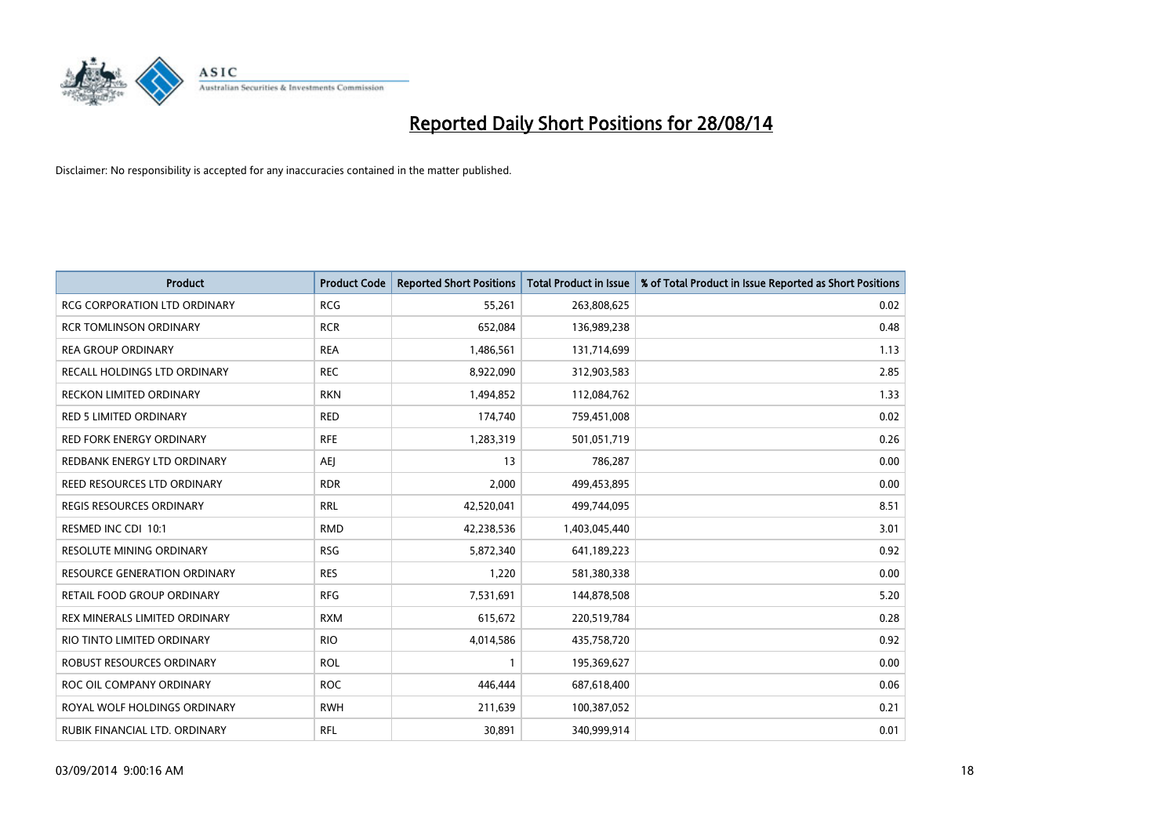

| <b>Product</b>                      | <b>Product Code</b> | <b>Reported Short Positions</b> | <b>Total Product in Issue</b> | % of Total Product in Issue Reported as Short Positions |
|-------------------------------------|---------------------|---------------------------------|-------------------------------|---------------------------------------------------------|
| <b>RCG CORPORATION LTD ORDINARY</b> | <b>RCG</b>          | 55,261                          | 263,808,625                   | 0.02                                                    |
| <b>RCR TOMLINSON ORDINARY</b>       | <b>RCR</b>          | 652,084                         | 136,989,238                   | 0.48                                                    |
| <b>REA GROUP ORDINARY</b>           | <b>REA</b>          | 1,486,561                       | 131,714,699                   | 1.13                                                    |
| RECALL HOLDINGS LTD ORDINARY        | <b>REC</b>          | 8,922,090                       | 312,903,583                   | 2.85                                                    |
| <b>RECKON LIMITED ORDINARY</b>      | <b>RKN</b>          | 1,494,852                       | 112,084,762                   | 1.33                                                    |
| <b>RED 5 LIMITED ORDINARY</b>       | <b>RED</b>          | 174,740                         | 759,451,008                   | 0.02                                                    |
| <b>RED FORK ENERGY ORDINARY</b>     | <b>RFE</b>          | 1,283,319                       | 501,051,719                   | 0.26                                                    |
| REDBANK ENERGY LTD ORDINARY         | AEJ                 | 13                              | 786,287                       | 0.00                                                    |
| REED RESOURCES LTD ORDINARY         | <b>RDR</b>          | 2,000                           | 499,453,895                   | 0.00                                                    |
| <b>REGIS RESOURCES ORDINARY</b>     | <b>RRL</b>          | 42,520,041                      | 499,744,095                   | 8.51                                                    |
| RESMED INC CDI 10:1                 | <b>RMD</b>          | 42,238,536                      | 1,403,045,440                 | 3.01                                                    |
| <b>RESOLUTE MINING ORDINARY</b>     | <b>RSG</b>          | 5,872,340                       | 641,189,223                   | 0.92                                                    |
| RESOURCE GENERATION ORDINARY        | <b>RES</b>          | 1,220                           | 581,380,338                   | 0.00                                                    |
| RETAIL FOOD GROUP ORDINARY          | <b>RFG</b>          | 7,531,691                       | 144,878,508                   | 5.20                                                    |
| REX MINERALS LIMITED ORDINARY       | <b>RXM</b>          | 615,672                         | 220,519,784                   | 0.28                                                    |
| RIO TINTO LIMITED ORDINARY          | <b>RIO</b>          | 4,014,586                       | 435,758,720                   | 0.92                                                    |
| ROBUST RESOURCES ORDINARY           | <b>ROL</b>          | $\mathbf{1}$                    | 195,369,627                   | 0.00                                                    |
| ROC OIL COMPANY ORDINARY            | <b>ROC</b>          | 446,444                         | 687,618,400                   | 0.06                                                    |
| ROYAL WOLF HOLDINGS ORDINARY        | <b>RWH</b>          | 211,639                         | 100,387,052                   | 0.21                                                    |
| RUBIK FINANCIAL LTD. ORDINARY       | RFL                 | 30,891                          | 340,999,914                   | 0.01                                                    |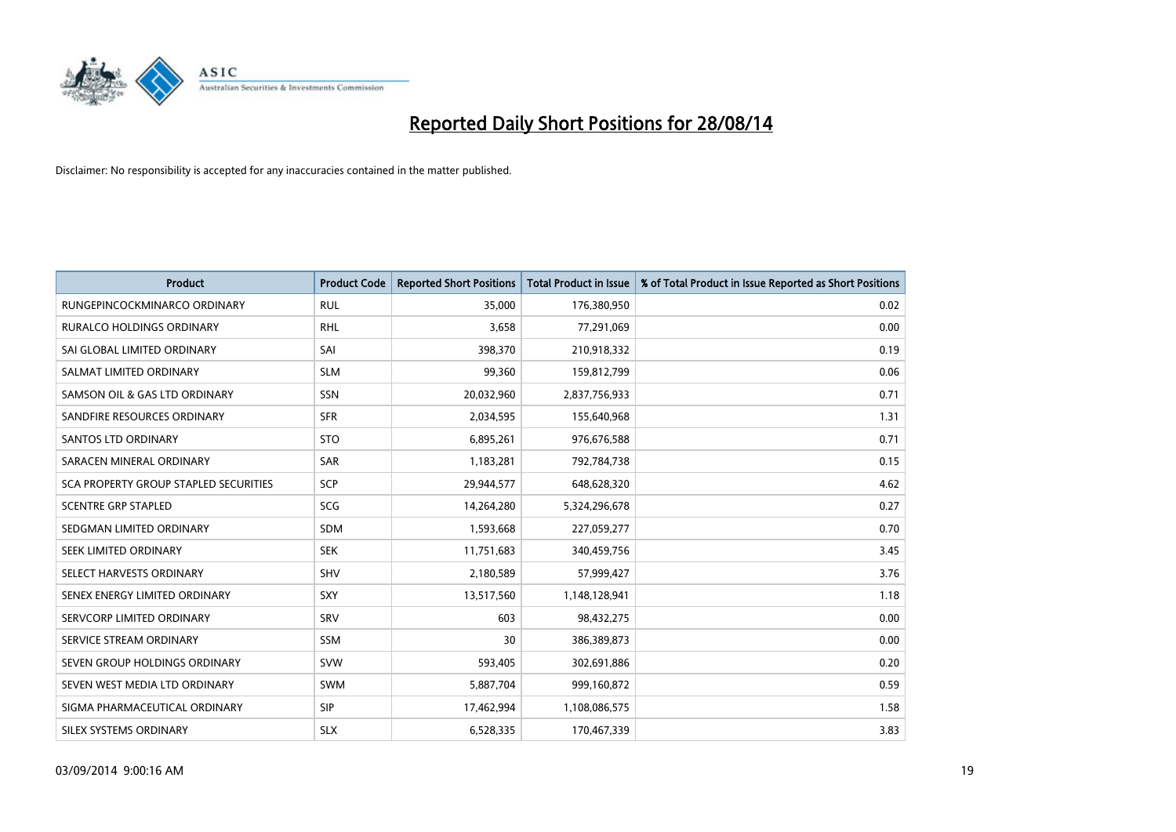

| <b>Product</b>                               | <b>Product Code</b> | <b>Reported Short Positions</b> | <b>Total Product in Issue</b> | % of Total Product in Issue Reported as Short Positions |
|----------------------------------------------|---------------------|---------------------------------|-------------------------------|---------------------------------------------------------|
| RUNGEPINCOCKMINARCO ORDINARY                 | <b>RUL</b>          | 35,000                          | 176,380,950                   | 0.02                                                    |
| RURALCO HOLDINGS ORDINARY                    | <b>RHL</b>          | 3,658                           | 77,291,069                    | 0.00                                                    |
| SAI GLOBAL LIMITED ORDINARY                  | SAI                 | 398,370                         | 210,918,332                   | 0.19                                                    |
| SALMAT LIMITED ORDINARY                      | <b>SLM</b>          | 99,360                          | 159,812,799                   | 0.06                                                    |
| SAMSON OIL & GAS LTD ORDINARY                | SSN                 | 20,032,960                      | 2,837,756,933                 | 0.71                                                    |
| SANDFIRE RESOURCES ORDINARY                  | <b>SFR</b>          | 2,034,595                       | 155,640,968                   | 1.31                                                    |
| SANTOS LTD ORDINARY                          | <b>STO</b>          | 6,895,261                       | 976,676,588                   | 0.71                                                    |
| SARACEN MINERAL ORDINARY                     | <b>SAR</b>          | 1,183,281                       | 792,784,738                   | 0.15                                                    |
| <b>SCA PROPERTY GROUP STAPLED SECURITIES</b> | SCP                 | 29,944,577                      | 648,628,320                   | 4.62                                                    |
| <b>SCENTRE GRP STAPLED</b>                   | SCG                 | 14,264,280                      | 5,324,296,678                 | 0.27                                                    |
| SEDGMAN LIMITED ORDINARY                     | <b>SDM</b>          | 1,593,668                       | 227,059,277                   | 0.70                                                    |
| SEEK LIMITED ORDINARY                        | <b>SEK</b>          | 11,751,683                      | 340,459,756                   | 3.45                                                    |
| SELECT HARVESTS ORDINARY                     | SHV                 | 2,180,589                       | 57,999,427                    | 3.76                                                    |
| SENEX ENERGY LIMITED ORDINARY                | <b>SXY</b>          | 13,517,560                      | 1,148,128,941                 | 1.18                                                    |
| SERVCORP LIMITED ORDINARY                    | SRV                 | 603                             | 98,432,275                    | 0.00                                                    |
| SERVICE STREAM ORDINARY                      | SSM                 | 30                              | 386,389,873                   | 0.00                                                    |
| SEVEN GROUP HOLDINGS ORDINARY                | <b>SVW</b>          | 593,405                         | 302,691,886                   | 0.20                                                    |
| SEVEN WEST MEDIA LTD ORDINARY                | SWM                 | 5,887,704                       | 999,160,872                   | 0.59                                                    |
| SIGMA PHARMACEUTICAL ORDINARY                | <b>SIP</b>          | 17,462,994                      | 1,108,086,575                 | 1.58                                                    |
| SILEX SYSTEMS ORDINARY                       | <b>SLX</b>          | 6,528,335                       | 170,467,339                   | 3.83                                                    |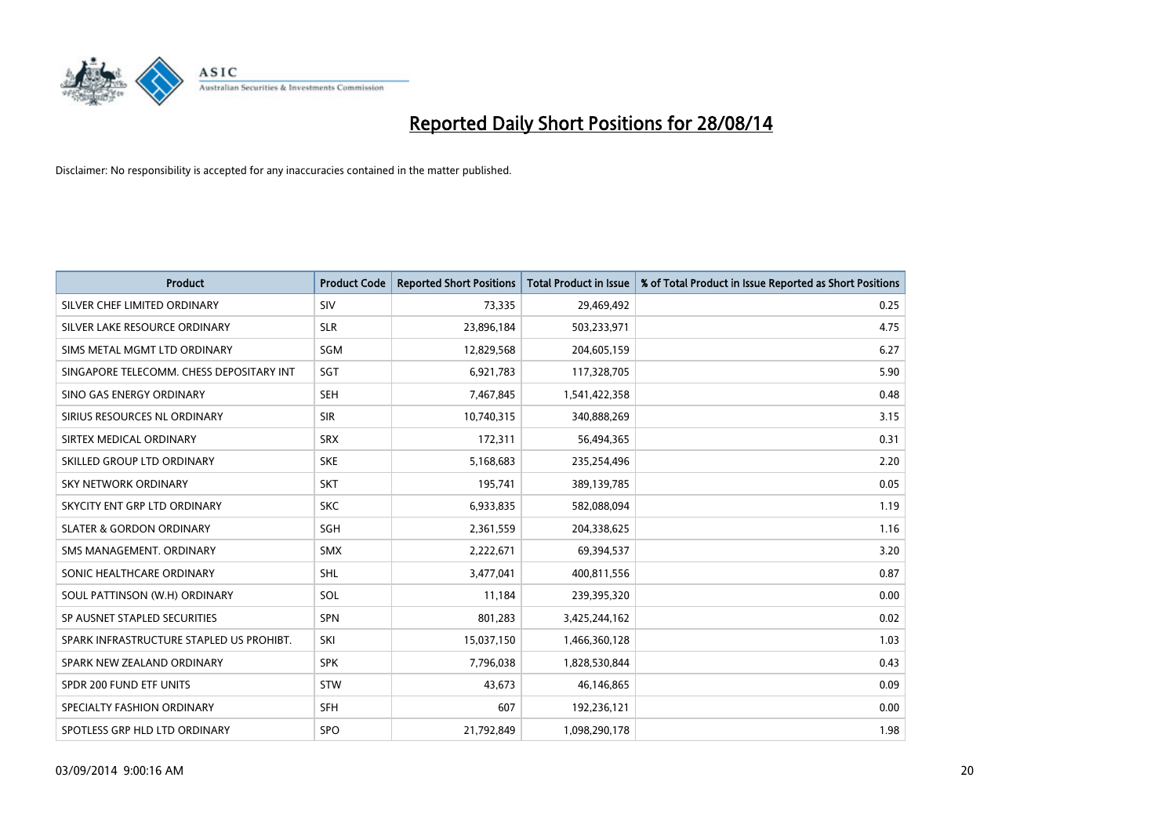

| <b>Product</b>                           | <b>Product Code</b> | <b>Reported Short Positions</b> | <b>Total Product in Issue</b> | % of Total Product in Issue Reported as Short Positions |
|------------------------------------------|---------------------|---------------------------------|-------------------------------|---------------------------------------------------------|
| SILVER CHEF LIMITED ORDINARY             | SIV                 | 73,335                          | 29,469,492                    | 0.25                                                    |
| SILVER LAKE RESOURCE ORDINARY            | <b>SLR</b>          | 23,896,184                      | 503,233,971                   | 4.75                                                    |
| SIMS METAL MGMT LTD ORDINARY             | SGM                 | 12,829,568                      | 204,605,159                   | 6.27                                                    |
| SINGAPORE TELECOMM. CHESS DEPOSITARY INT | SGT                 | 6,921,783                       | 117,328,705                   | 5.90                                                    |
| SINO GAS ENERGY ORDINARY                 | <b>SEH</b>          | 7,467,845                       | 1,541,422,358                 | 0.48                                                    |
| SIRIUS RESOURCES NL ORDINARY             | <b>SIR</b>          | 10,740,315                      | 340,888,269                   | 3.15                                                    |
| SIRTEX MEDICAL ORDINARY                  | <b>SRX</b>          | 172,311                         | 56,494,365                    | 0.31                                                    |
| SKILLED GROUP LTD ORDINARY               | <b>SKE</b>          | 5,168,683                       | 235,254,496                   | 2.20                                                    |
| SKY NETWORK ORDINARY                     | <b>SKT</b>          | 195,741                         | 389,139,785                   | 0.05                                                    |
| SKYCITY ENT GRP LTD ORDINARY             | <b>SKC</b>          | 6,933,835                       | 582,088,094                   | 1.19                                                    |
| <b>SLATER &amp; GORDON ORDINARY</b>      | SGH                 | 2,361,559                       | 204,338,625                   | 1.16                                                    |
| SMS MANAGEMENT, ORDINARY                 | <b>SMX</b>          | 2,222,671                       | 69,394,537                    | 3.20                                                    |
| SONIC HEALTHCARE ORDINARY                | SHL                 | 3,477,041                       | 400,811,556                   | 0.87                                                    |
| SOUL PATTINSON (W.H) ORDINARY            | SOL                 | 11,184                          | 239,395,320                   | 0.00                                                    |
| SP AUSNET STAPLED SECURITIES             | <b>SPN</b>          | 801,283                         | 3,425,244,162                 | 0.02                                                    |
| SPARK INFRASTRUCTURE STAPLED US PROHIBT. | SKI                 | 15,037,150                      | 1,466,360,128                 | 1.03                                                    |
| SPARK NEW ZEALAND ORDINARY               | <b>SPK</b>          | 7,796,038                       | 1,828,530,844                 | 0.43                                                    |
| SPDR 200 FUND ETF UNITS                  | <b>STW</b>          | 43,673                          | 46,146,865                    | 0.09                                                    |
| SPECIALTY FASHION ORDINARY               | <b>SFH</b>          | 607                             | 192,236,121                   | 0.00                                                    |
| SPOTLESS GRP HLD LTD ORDINARY            | <b>SPO</b>          | 21,792,849                      | 1,098,290,178                 | 1.98                                                    |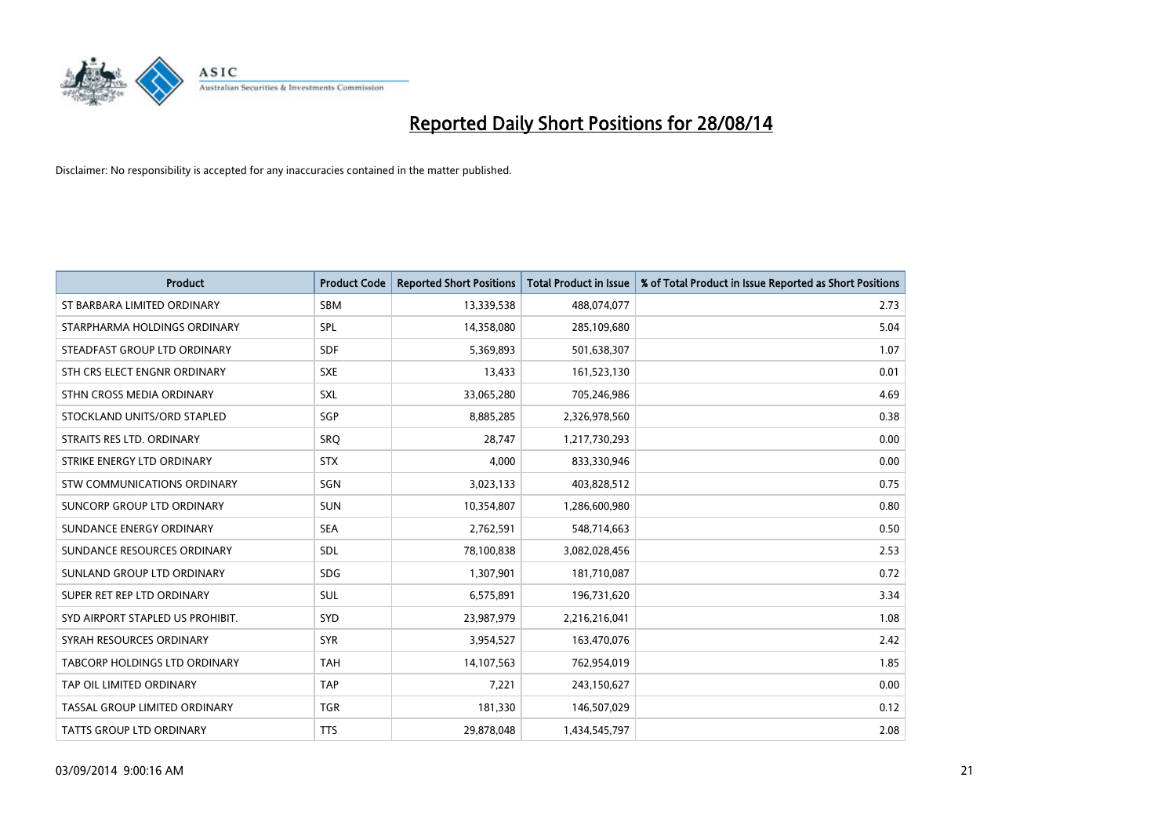

| <b>Product</b>                   | <b>Product Code</b> | <b>Reported Short Positions</b> | <b>Total Product in Issue</b> | % of Total Product in Issue Reported as Short Positions |
|----------------------------------|---------------------|---------------------------------|-------------------------------|---------------------------------------------------------|
| ST BARBARA LIMITED ORDINARY      | <b>SBM</b>          | 13,339,538                      | 488,074,077                   | 2.73                                                    |
| STARPHARMA HOLDINGS ORDINARY     | SPL                 | 14,358,080                      | 285,109,680                   | 5.04                                                    |
| STEADFAST GROUP LTD ORDINARY     | <b>SDF</b>          | 5,369,893                       | 501,638,307                   | 1.07                                                    |
| STH CRS ELECT ENGNR ORDINARY     | <b>SXE</b>          | 13,433                          | 161,523,130                   | 0.01                                                    |
| STHN CROSS MEDIA ORDINARY        | <b>SXL</b>          | 33,065,280                      | 705,246,986                   | 4.69                                                    |
| STOCKLAND UNITS/ORD STAPLED      | SGP                 | 8,885,285                       | 2,326,978,560                 | 0.38                                                    |
| STRAITS RES LTD. ORDINARY        | SRQ                 | 28,747                          | 1,217,730,293                 | 0.00                                                    |
| STRIKE ENERGY LTD ORDINARY       | <b>STX</b>          | 4,000                           | 833,330,946                   | 0.00                                                    |
| STW COMMUNICATIONS ORDINARY      | SGN                 | 3,023,133                       | 403,828,512                   | 0.75                                                    |
| SUNCORP GROUP LTD ORDINARY       | <b>SUN</b>          | 10,354,807                      | 1,286,600,980                 | 0.80                                                    |
| SUNDANCE ENERGY ORDINARY         | <b>SEA</b>          | 2,762,591                       | 548,714,663                   | 0.50                                                    |
| SUNDANCE RESOURCES ORDINARY      | <b>SDL</b>          | 78,100,838                      | 3,082,028,456                 | 2.53                                                    |
| SUNLAND GROUP LTD ORDINARY       | <b>SDG</b>          | 1,307,901                       | 181,710,087                   | 0.72                                                    |
| SUPER RET REP LTD ORDINARY       | SUL                 | 6,575,891                       | 196,731,620                   | 3.34                                                    |
| SYD AIRPORT STAPLED US PROHIBIT. | SYD                 | 23,987,979                      | 2,216,216,041                 | 1.08                                                    |
| SYRAH RESOURCES ORDINARY         | <b>SYR</b>          | 3,954,527                       | 163,470,076                   | 2.42                                                    |
| TABCORP HOLDINGS LTD ORDINARY    | <b>TAH</b>          | 14,107,563                      | 762,954,019                   | 1.85                                                    |
| TAP OIL LIMITED ORDINARY         | <b>TAP</b>          | 7,221                           | 243,150,627                   | 0.00                                                    |
| TASSAL GROUP LIMITED ORDINARY    | <b>TGR</b>          | 181,330                         | 146,507,029                   | 0.12                                                    |
| <b>TATTS GROUP LTD ORDINARY</b>  | <b>TTS</b>          | 29,878,048                      | 1,434,545,797                 | 2.08                                                    |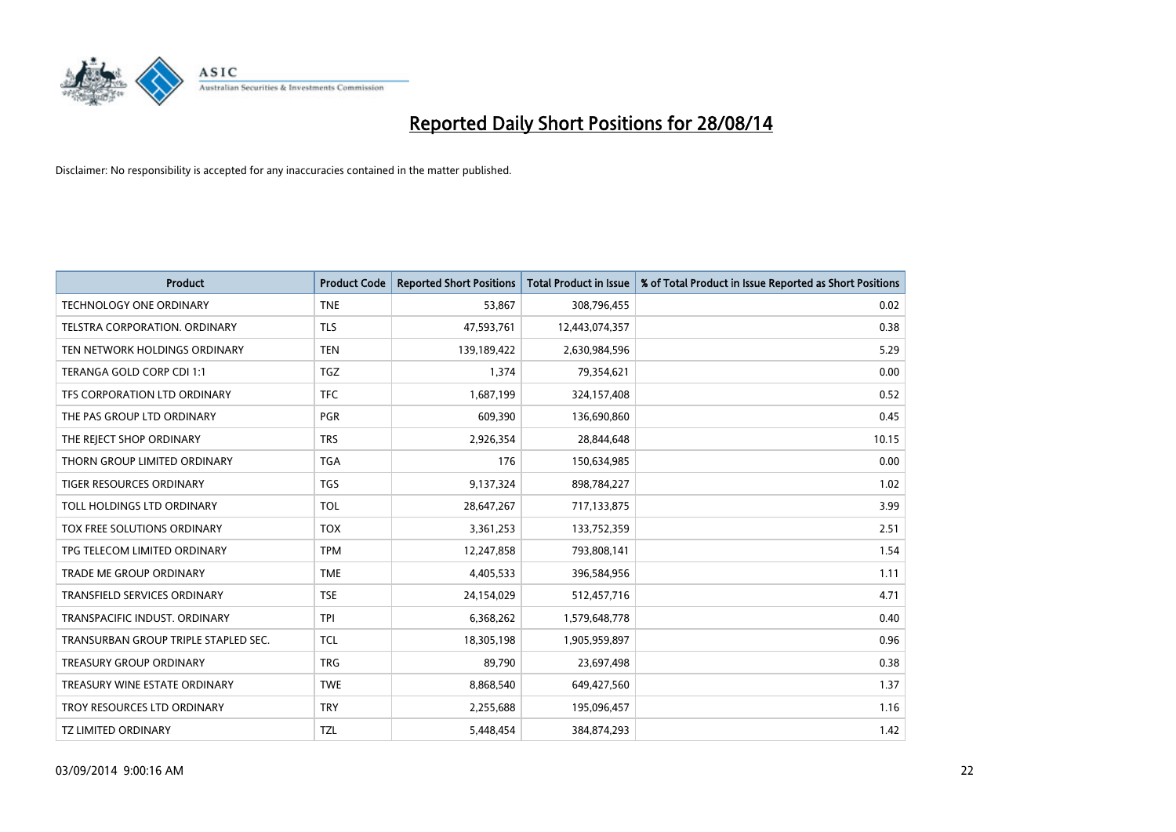

| <b>Product</b>                       | <b>Product Code</b> | <b>Reported Short Positions</b> | <b>Total Product in Issue</b> | % of Total Product in Issue Reported as Short Positions |
|--------------------------------------|---------------------|---------------------------------|-------------------------------|---------------------------------------------------------|
| <b>TECHNOLOGY ONE ORDINARY</b>       | <b>TNE</b>          | 53,867                          | 308,796,455                   | 0.02                                                    |
| TELSTRA CORPORATION. ORDINARY        | <b>TLS</b>          | 47,593,761                      | 12,443,074,357                | 0.38                                                    |
| TEN NETWORK HOLDINGS ORDINARY        | <b>TEN</b>          | 139,189,422                     | 2,630,984,596                 | 5.29                                                    |
| TERANGA GOLD CORP CDI 1:1            | <b>TGZ</b>          | 1,374                           | 79,354,621                    | 0.00                                                    |
| TFS CORPORATION LTD ORDINARY         | <b>TFC</b>          | 1,687,199                       | 324,157,408                   | 0.52                                                    |
| THE PAS GROUP LTD ORDINARY           | <b>PGR</b>          | 609,390                         | 136,690,860                   | 0.45                                                    |
| THE REJECT SHOP ORDINARY             | <b>TRS</b>          | 2,926,354                       | 28,844,648                    | 10.15                                                   |
| THORN GROUP LIMITED ORDINARY         | <b>TGA</b>          | 176                             | 150,634,985                   | 0.00                                                    |
| <b>TIGER RESOURCES ORDINARY</b>      | <b>TGS</b>          | 9,137,324                       | 898,784,227                   | 1.02                                                    |
| TOLL HOLDINGS LTD ORDINARY           | <b>TOL</b>          | 28,647,267                      | 717,133,875                   | 3.99                                                    |
| TOX FREE SOLUTIONS ORDINARY          | <b>TOX</b>          | 3,361,253                       | 133,752,359                   | 2.51                                                    |
| TPG TELECOM LIMITED ORDINARY         | <b>TPM</b>          | 12,247,858                      | 793,808,141                   | 1.54                                                    |
| TRADE ME GROUP ORDINARY              | <b>TME</b>          | 4,405,533                       | 396,584,956                   | 1.11                                                    |
| TRANSFIELD SERVICES ORDINARY         | <b>TSE</b>          | 24,154,029                      | 512,457,716                   | 4.71                                                    |
| TRANSPACIFIC INDUST, ORDINARY        | <b>TPI</b>          | 6,368,262                       | 1,579,648,778                 | 0.40                                                    |
| TRANSURBAN GROUP TRIPLE STAPLED SEC. | <b>TCL</b>          | 18,305,198                      | 1,905,959,897                 | 0.96                                                    |
| TREASURY GROUP ORDINARY              | <b>TRG</b>          | 89,790                          | 23,697,498                    | 0.38                                                    |
| TREASURY WINE ESTATE ORDINARY        | <b>TWE</b>          | 8,868,540                       | 649,427,560                   | 1.37                                                    |
| TROY RESOURCES LTD ORDINARY          | <b>TRY</b>          | 2,255,688                       | 195,096,457                   | 1.16                                                    |
| <b>TZ LIMITED ORDINARY</b>           | <b>TZL</b>          | 5,448,454                       | 384,874,293                   | 1.42                                                    |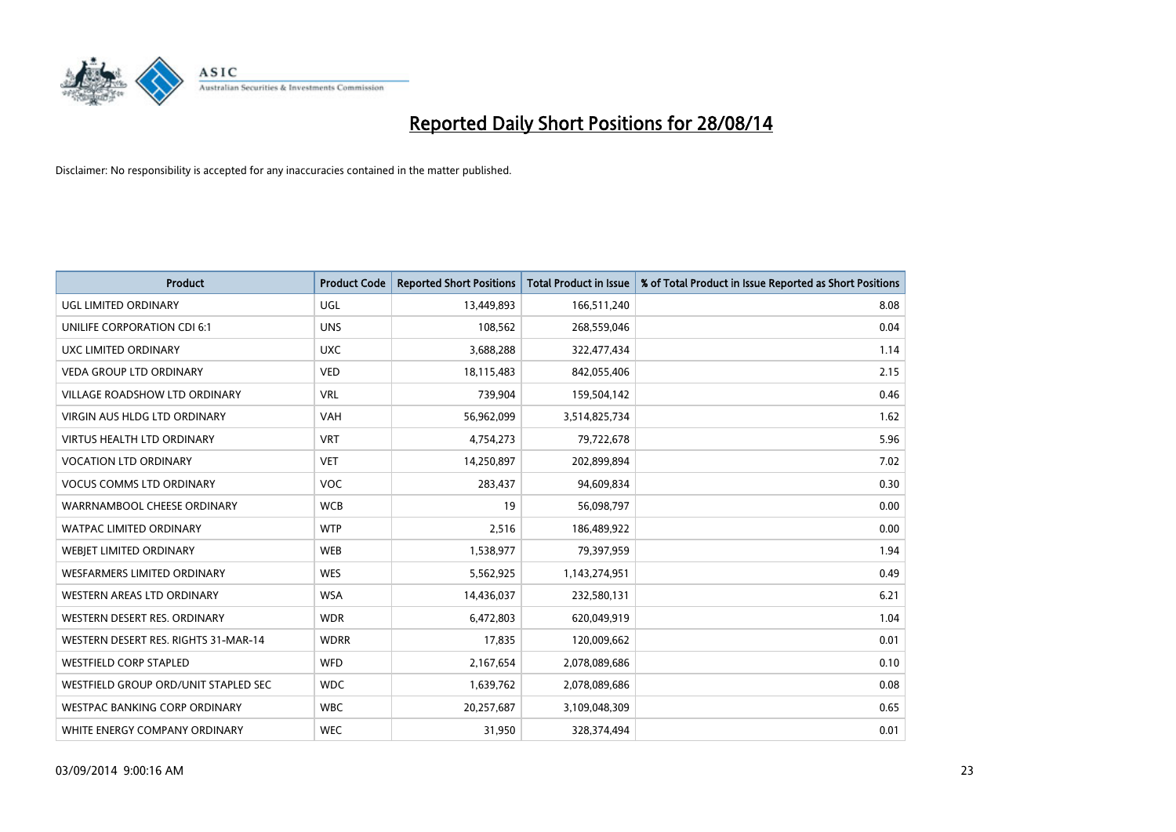

| <b>Product</b>                       | <b>Product Code</b> | <b>Reported Short Positions</b> | <b>Total Product in Issue</b> | % of Total Product in Issue Reported as Short Positions |
|--------------------------------------|---------------------|---------------------------------|-------------------------------|---------------------------------------------------------|
| <b>UGL LIMITED ORDINARY</b>          | UGL                 | 13,449,893                      | 166,511,240                   | 8.08                                                    |
| UNILIFE CORPORATION CDI 6:1          | <b>UNS</b>          | 108,562                         | 268,559,046                   | 0.04                                                    |
| UXC LIMITED ORDINARY                 | <b>UXC</b>          | 3,688,288                       | 322,477,434                   | 1.14                                                    |
| <b>VEDA GROUP LTD ORDINARY</b>       | <b>VED</b>          | 18,115,483                      | 842,055,406                   | 2.15                                                    |
| <b>VILLAGE ROADSHOW LTD ORDINARY</b> | <b>VRL</b>          | 739,904                         | 159,504,142                   | 0.46                                                    |
| <b>VIRGIN AUS HLDG LTD ORDINARY</b>  | <b>VAH</b>          | 56,962,099                      | 3,514,825,734                 | 1.62                                                    |
| <b>VIRTUS HEALTH LTD ORDINARY</b>    | <b>VRT</b>          | 4,754,273                       | 79,722,678                    | 5.96                                                    |
| <b>VOCATION LTD ORDINARY</b>         | <b>VET</b>          | 14,250,897                      | 202,899,894                   | 7.02                                                    |
| <b>VOCUS COMMS LTD ORDINARY</b>      | <b>VOC</b>          | 283,437                         | 94,609,834                    | 0.30                                                    |
| WARRNAMBOOL CHEESE ORDINARY          | <b>WCB</b>          | 19                              | 56,098,797                    | 0.00                                                    |
| WATPAC LIMITED ORDINARY              | <b>WTP</b>          | 2,516                           | 186,489,922                   | 0.00                                                    |
| WEBIET LIMITED ORDINARY              | <b>WEB</b>          | 1,538,977                       | 79,397,959                    | 1.94                                                    |
| <b>WESFARMERS LIMITED ORDINARY</b>   | <b>WES</b>          | 5,562,925                       | 1,143,274,951                 | 0.49                                                    |
| WESTERN AREAS LTD ORDINARY           | <b>WSA</b>          | 14,436,037                      | 232,580,131                   | 6.21                                                    |
| WESTERN DESERT RES. ORDINARY         | <b>WDR</b>          | 6,472,803                       | 620,049,919                   | 1.04                                                    |
| WESTERN DESERT RES. RIGHTS 31-MAR-14 | <b>WDRR</b>         | 17,835                          | 120,009,662                   | 0.01                                                    |
| <b>WESTFIELD CORP STAPLED</b>        | WFD                 | 2,167,654                       | 2,078,089,686                 | 0.10                                                    |
| WESTFIELD GROUP ORD/UNIT STAPLED SEC | <b>WDC</b>          | 1,639,762                       | 2,078,089,686                 | 0.08                                                    |
| <b>WESTPAC BANKING CORP ORDINARY</b> | <b>WBC</b>          | 20,257,687                      | 3,109,048,309                 | 0.65                                                    |
| WHITE ENERGY COMPANY ORDINARY        | <b>WEC</b>          | 31,950                          | 328,374,494                   | 0.01                                                    |